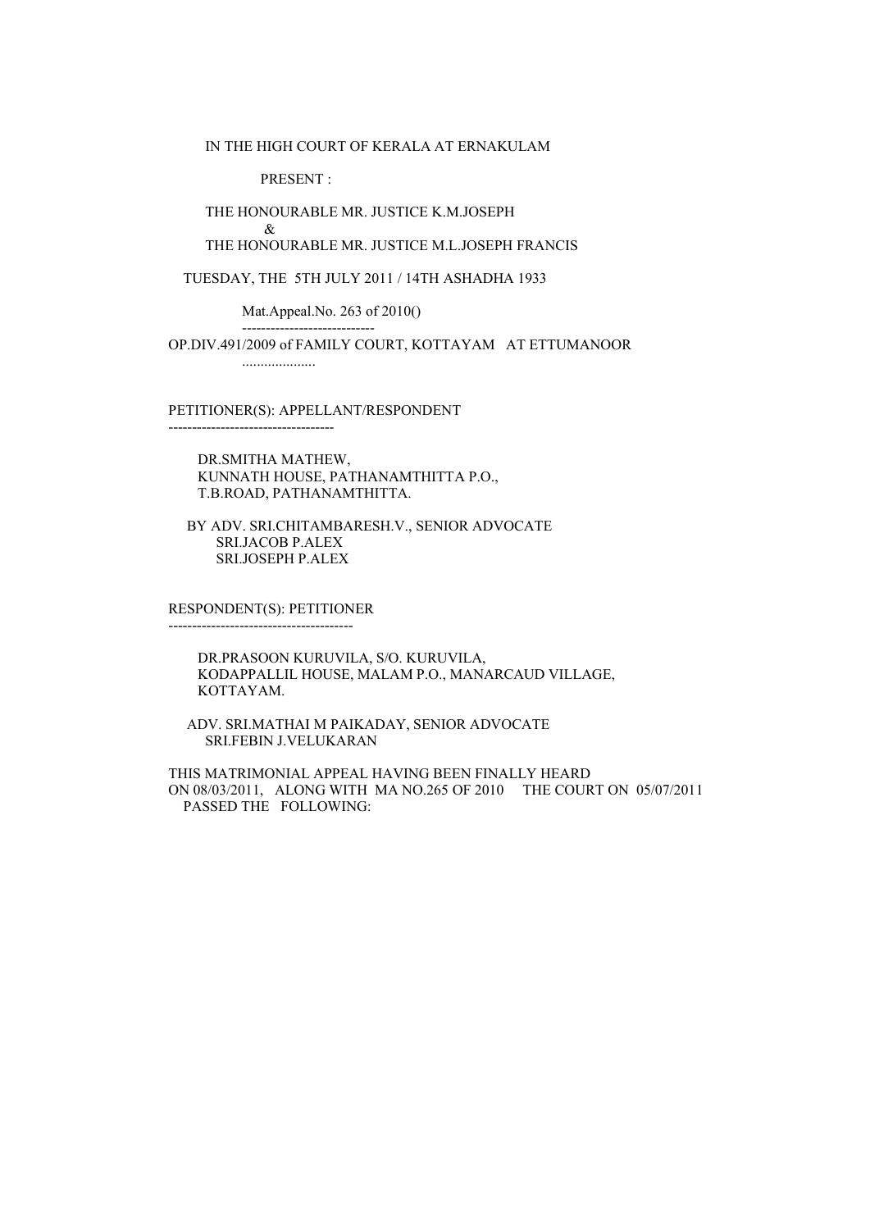IN THE HIGH COURT OF KERALA AT ERNAKULAM

PRESENT :

----------------------------

THE HONOURABLE MR. JUSTICE K.M.JOSEPH

 & THE HONOURABLE MR. JUSTICE M.L.JOSEPH FRANCIS

TUESDAY, THE 5TH JULY 2011 / 14TH ASHADHA 1933

Mat.Appeal.No. 263 of 2010()

 OP.DIV.491/2009 of FAMILY COURT, KOTTAYAM AT ETTUMANOOR ....................

PETITIONER(S): APPELLANT/RESPONDENT

 DR.SMITHA MATHEW, KUNNATH HOUSE, PATHANAMTHITTA P.O., T.B.ROAD, PATHANAMTHITTA.

 BY ADV. SRI.CHITAMBARESH.V., SENIOR ADVOCATE SRI.JACOB P.ALEX SRI.JOSEPH P.ALEX

 RESPONDENT(S): PETITIONER ---------------------------------------

-----------------------------------

 DR.PRASOON KURUVILA, S/O. KURUVILA, KODAPPALLIL HOUSE, MALAM P.O., MANARCAUD VILLAGE, KOTTAYAM.

 ADV. SRI.MATHAI M PAIKADAY, SENIOR ADVOCATE SRI.FEBIN J.VELUKARAN

 THIS MATRIMONIAL APPEAL HAVING BEEN FINALLY HEARD ON 08/03/2011, ALONG WITH MA NO.265 OF 2010 THE COURT ON 05/07/2011 PASSED THE FOLLOWING: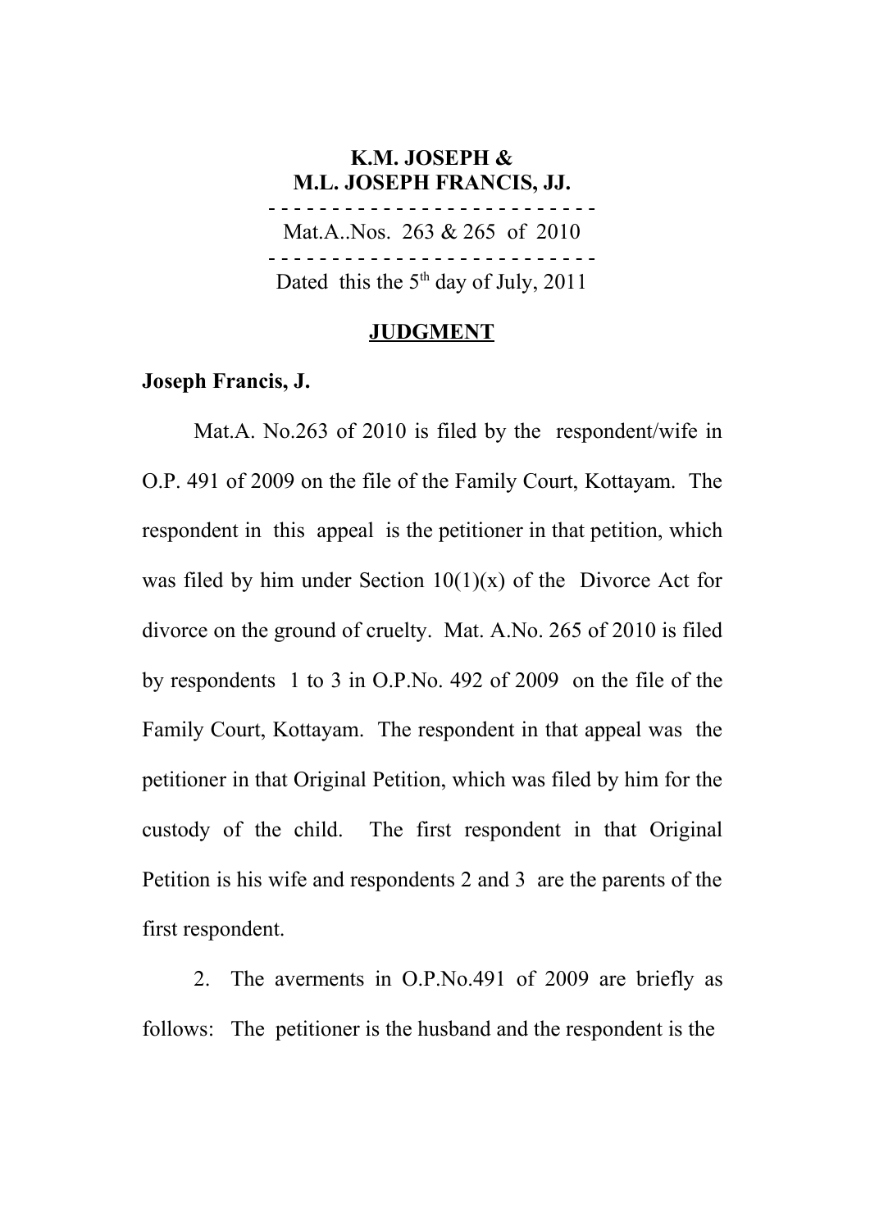## **K.M. JOSEPH & M.L. JOSEPH FRANCIS, JJ.** - - - - - - - - - - - - - - - - - - - - - - - - - - Mat.A..Nos. 263 & 265 of 2010 - - - - - - - - - - - - - - - - - - - - - - - - - - Dated this the  $5<sup>th</sup>$  day of July, 2011

#### **JUDGMENT**

### **Joseph Francis, J.**

Mat.A. No.263 of 2010 is filed by the respondent/wife in O.P. 491 of 2009 on the file of the Family Court, Kottayam. The respondent in this appeal is the petitioner in that petition, which was filed by him under Section  $10(1)(x)$  of the Divorce Act for divorce on the ground of cruelty. Mat. A.No. 265 of 2010 is filed by respondents 1 to 3 in O.P.No. 492 of 2009 on the file of the Family Court, Kottayam. The respondent in that appeal was the petitioner in that Original Petition, which was filed by him for the custody of the child. The first respondent in that Original Petition is his wife and respondents 2 and 3 are the parents of the first respondent.

2. The averments in O.P.No.491 of 2009 are briefly as follows: The petitioner is the husband and the respondent is the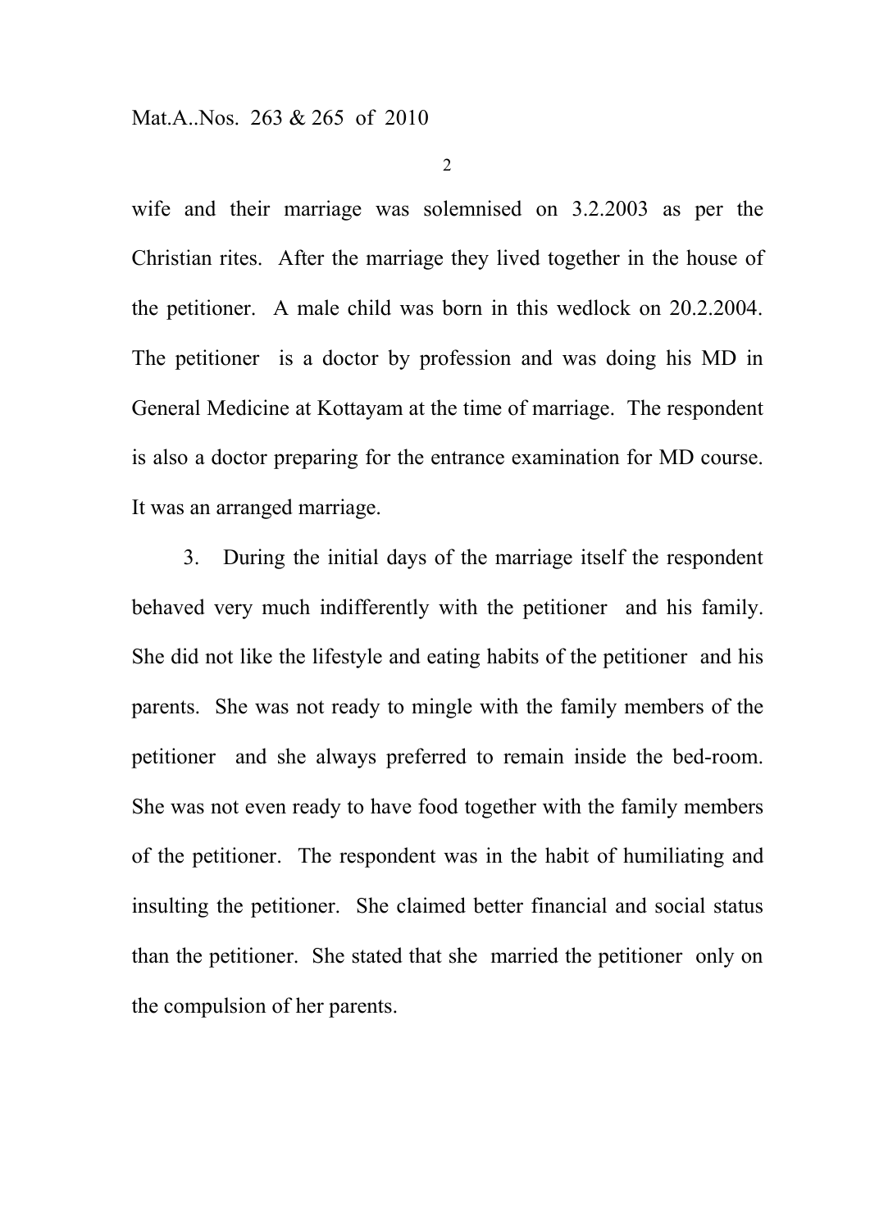wife and their marriage was solemnised on 3.2.2003 as per the Christian rites. After the marriage they lived together in the house of the petitioner. A male child was born in this wedlock on 20.2.2004. The petitioner is a doctor by profession and was doing his MD in General Medicine at Kottayam at the time of marriage. The respondent is also a doctor preparing for the entrance examination for MD course. It was an arranged marriage.

3. During the initial days of the marriage itself the respondent behaved very much indifferently with the petitioner and his family. She did not like the lifestyle and eating habits of the petitioner and his parents. She was not ready to mingle with the family members of the petitioner and she always preferred to remain inside the bed-room. She was not even ready to have food together with the family members of the petitioner. The respondent was in the habit of humiliating and insulting the petitioner. She claimed better financial and social status than the petitioner. She stated that she married the petitioner only on the compulsion of her parents.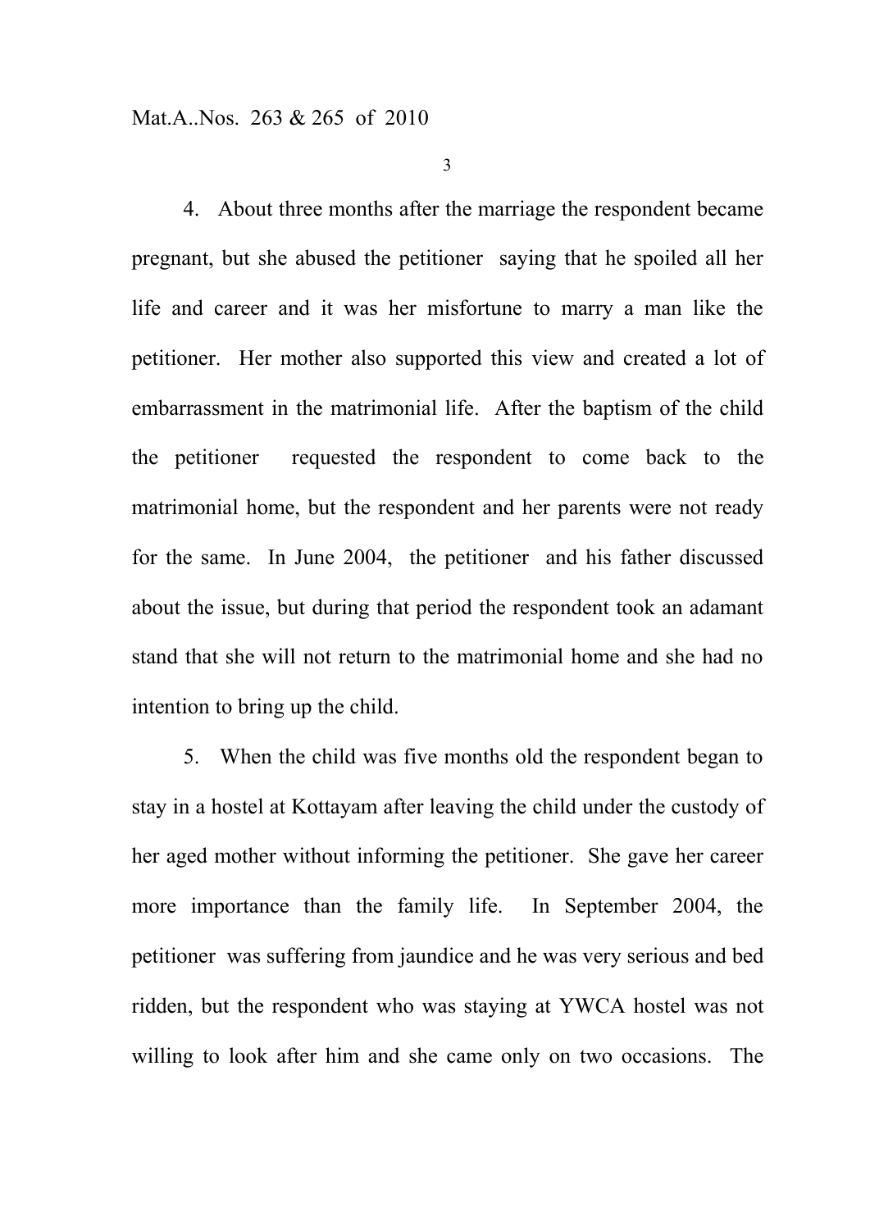4. About three months after the marriage the respondent became pregnant, but she abused the petitioner saying that he spoiled all her life and career and it was her misfortune to marry a man like the petitioner. Her mother also supported this view and created a lot of embarrassment in the matrimonial life. After the baptism of the child the petitioner requested the respondent to come back to the matrimonial home, but the respondent and her parents were not ready for the same. In June 2004, the petitioner and his father discussed about the issue, but during that period the respondent took an adamant stand that she will not return to the matrimonial home and she had no intention to bring up the child.

5. When the child was five months old the respondent began to stay in a hostel at Kottayam after leaving the child under the custody of her aged mother without informing the petitioner. She gave her career more importance than the family life. In September 2004, the petitioner was suffering from jaundice and he was very serious and bed ridden, but the respondent who was staying at YWCA hostel was not willing to look after him and she came only on two occasions. The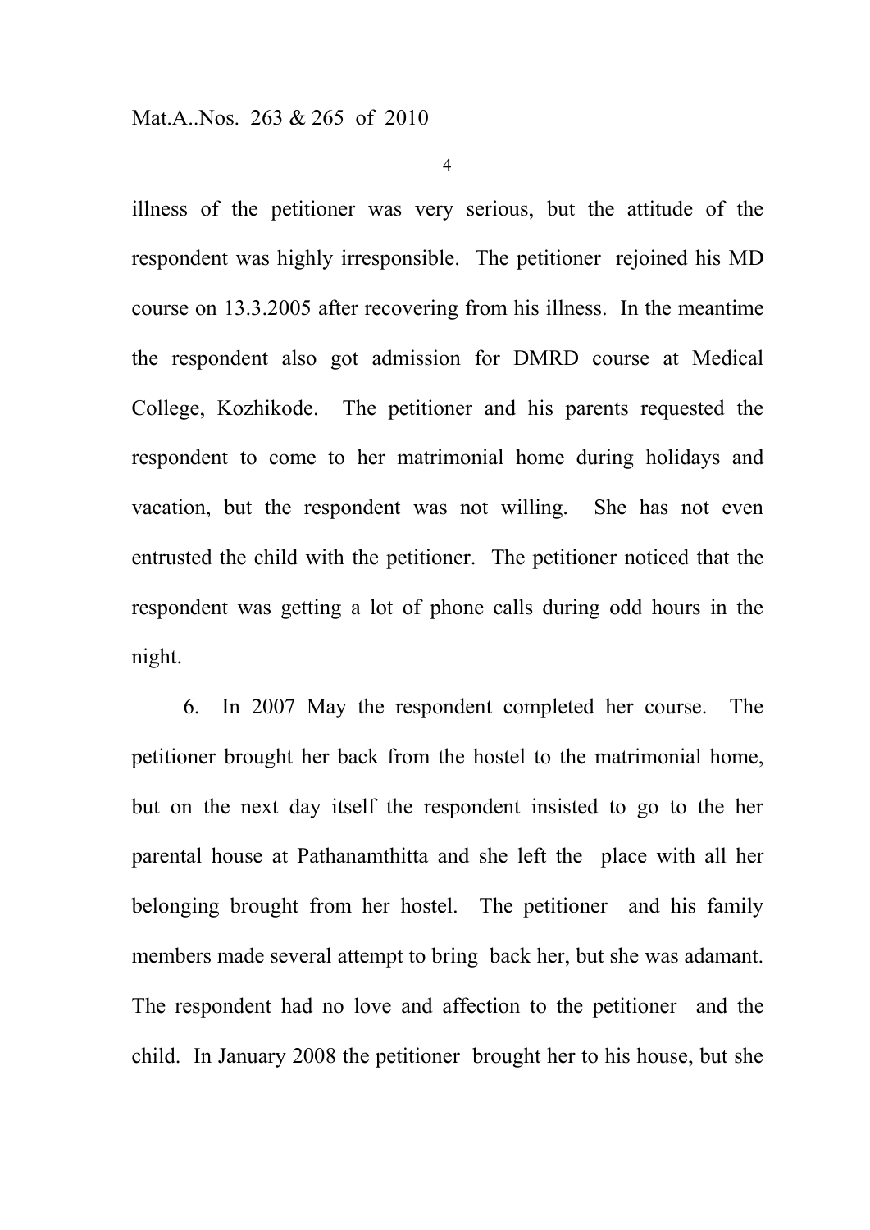illness of the petitioner was very serious, but the attitude of the respondent was highly irresponsible. The petitioner rejoined his MD course on 13.3.2005 after recovering from his illness. In the meantime the respondent also got admission for DMRD course at Medical College, Kozhikode. The petitioner and his parents requested the respondent to come to her matrimonial home during holidays and vacation, but the respondent was not willing. She has not even entrusted the child with the petitioner. The petitioner noticed that the respondent was getting a lot of phone calls during odd hours in the night.

6. In 2007 May the respondent completed her course. The petitioner brought her back from the hostel to the matrimonial home, but on the next day itself the respondent insisted to go to the her parental house at Pathanamthitta and she left the place with all her belonging brought from her hostel. The petitioner and his family members made several attempt to bring back her, but she was adamant. The respondent had no love and affection to the petitioner and the child. In January 2008 the petitioner brought her to his house, but she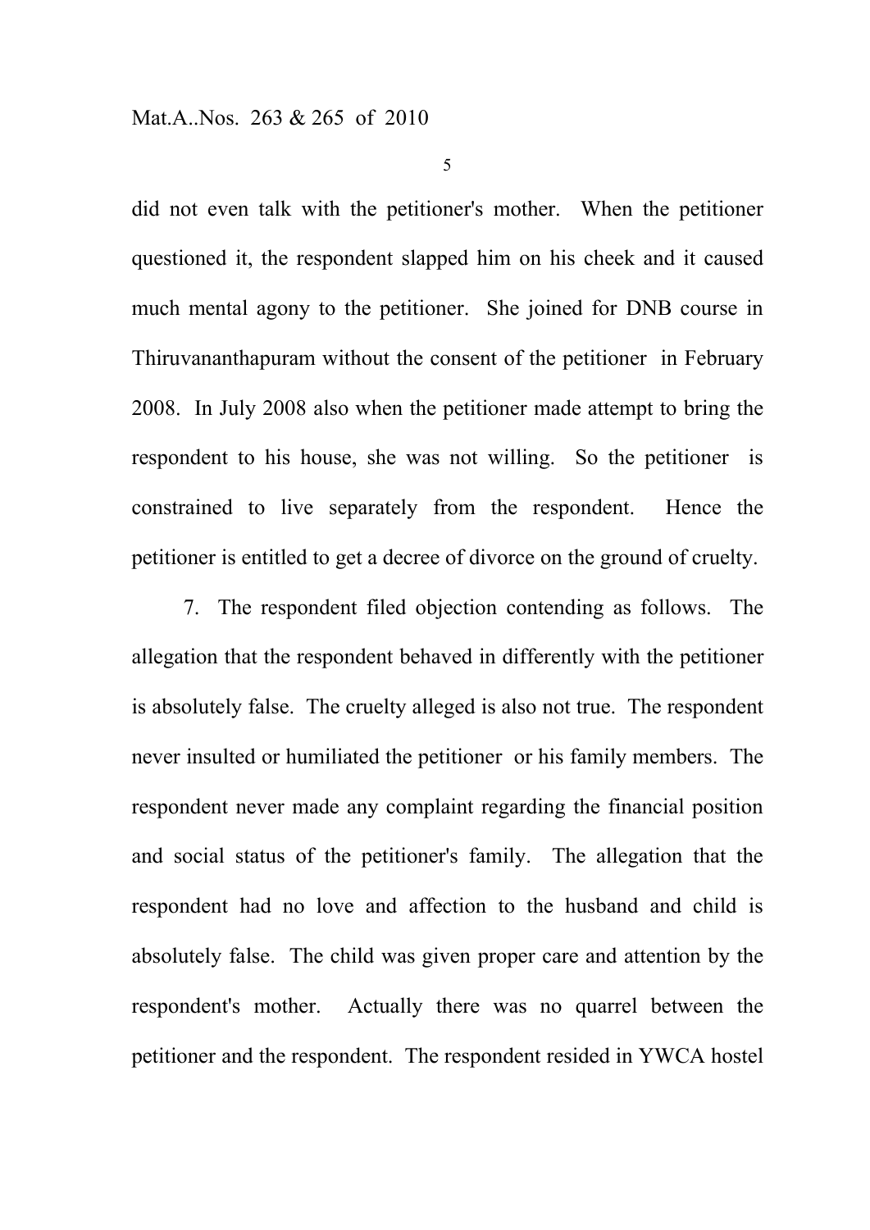did not even talk with the petitioner's mother. When the petitioner questioned it, the respondent slapped him on his cheek and it caused much mental agony to the petitioner. She joined for DNB course in Thiruvananthapuram without the consent of the petitioner in February 2008. In July 2008 also when the petitioner made attempt to bring the respondent to his house, she was not willing. So the petitioner is constrained to live separately from the respondent. Hence the petitioner is entitled to get a decree of divorce on the ground of cruelty.

7. The respondent filed objection contending as follows. The allegation that the respondent behaved in differently with the petitioner is absolutely false. The cruelty alleged is also not true. The respondent never insulted or humiliated the petitioner or his family members. The respondent never made any complaint regarding the financial position and social status of the petitioner's family. The allegation that the respondent had no love and affection to the husband and child is absolutely false. The child was given proper care and attention by the respondent's mother. Actually there was no quarrel between the petitioner and the respondent. The respondent resided in YWCA hostel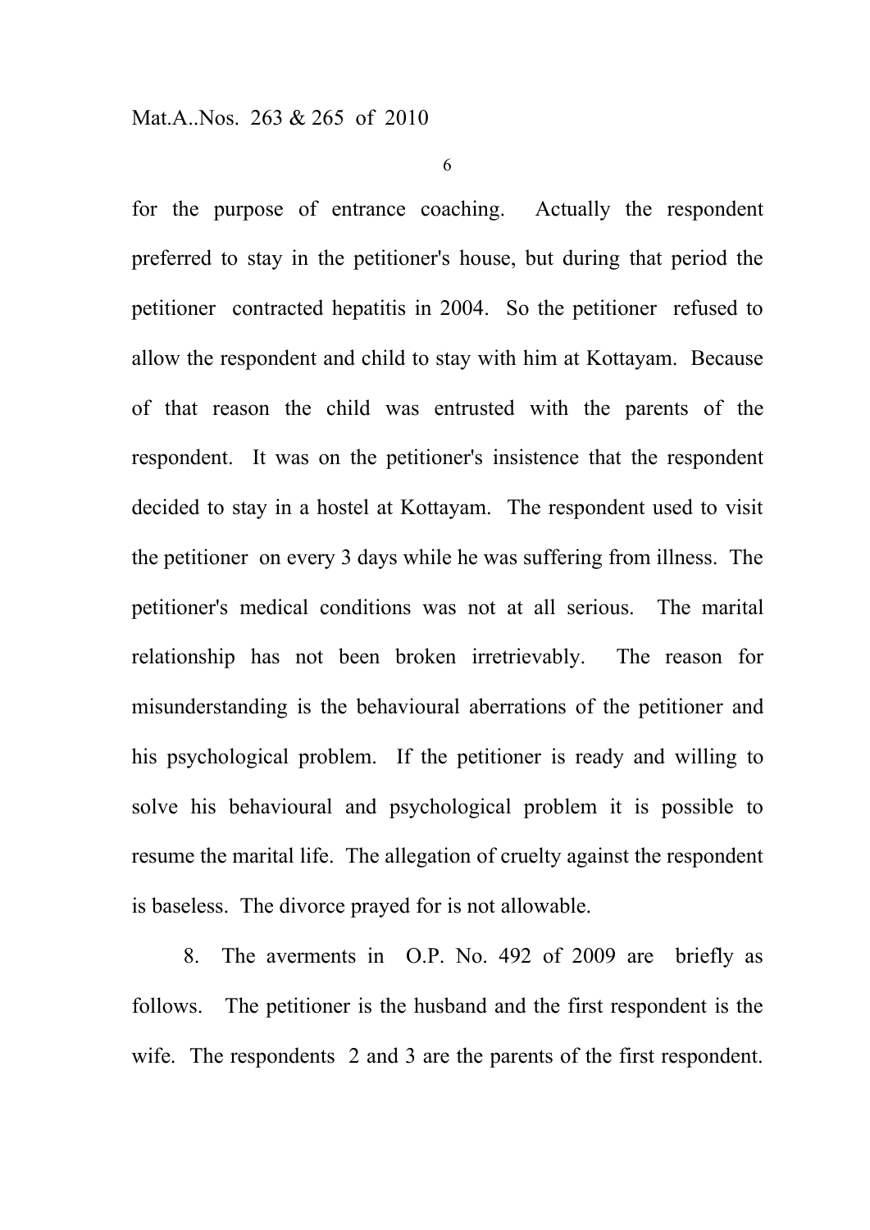for the purpose of entrance coaching. Actually the respondent preferred to stay in the petitioner's house, but during that period the petitioner contracted hepatitis in 2004. So the petitioner refused to allow the respondent and child to stay with him at Kottayam. Because of that reason the child was entrusted with the parents of the respondent. It was on the petitioner's insistence that the respondent decided to stay in a hostel at Kottayam. The respondent used to visit the petitioner on every 3 days while he was suffering from illness. The petitioner's medical conditions was not at all serious. The marital relationship has not been broken irretrievably. The reason for misunderstanding is the behavioural aberrations of the petitioner and his psychological problem. If the petitioner is ready and willing to solve his behavioural and psychological problem it is possible to resume the marital life. The allegation of cruelty against the respondent is baseless. The divorce prayed for is not allowable.

8. The averments in O.P. No. 492 of 2009 are briefly as follows. The petitioner is the husband and the first respondent is the wife. The respondents 2 and 3 are the parents of the first respondent.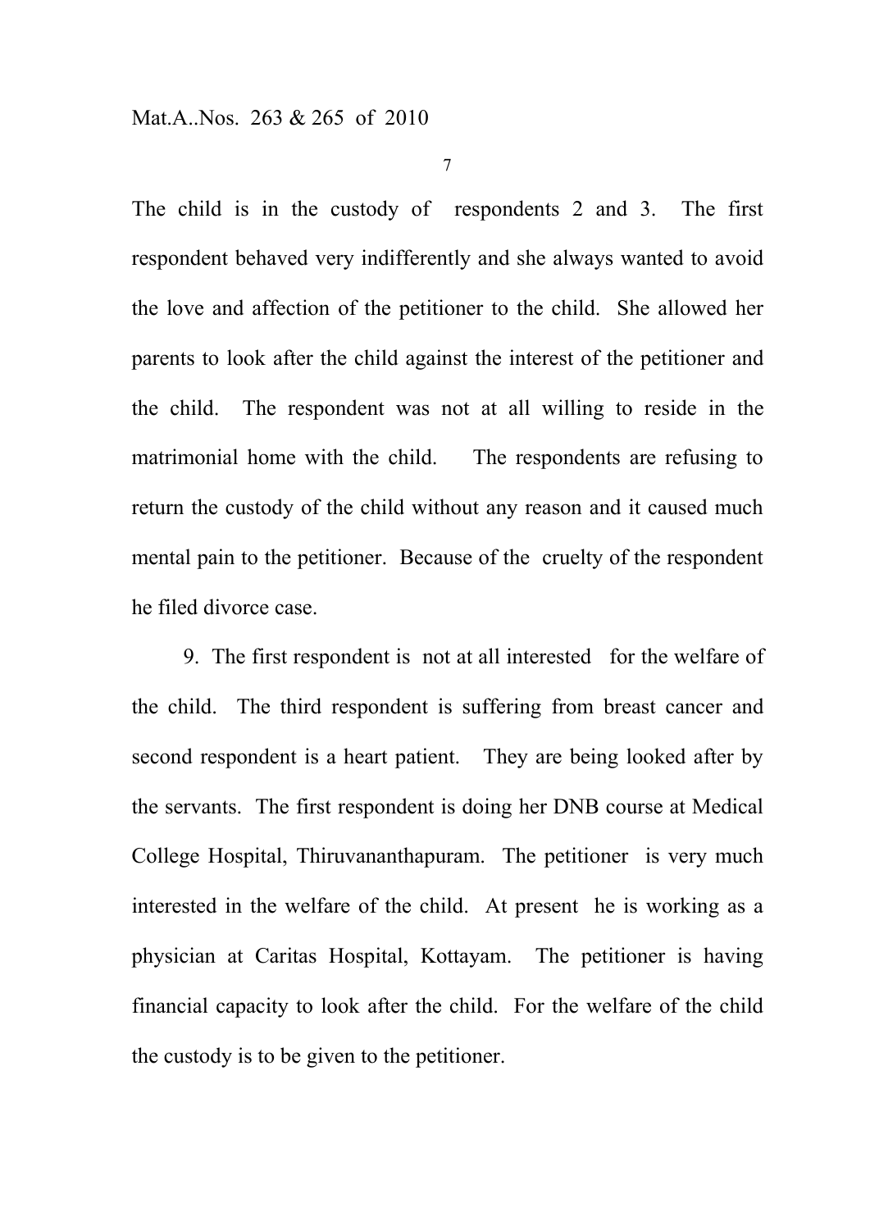The child is in the custody of respondents 2 and 3. The first respondent behaved very indifferently and she always wanted to avoid the love and affection of the petitioner to the child. She allowed her parents to look after the child against the interest of the petitioner and the child. The respondent was not at all willing to reside in the matrimonial home with the child. The respondents are refusing to return the custody of the child without any reason and it caused much mental pain to the petitioner. Because of the cruelty of the respondent he filed divorce case.

9. The first respondent is not at all interested for the welfare of the child. The third respondent is suffering from breast cancer and second respondent is a heart patient. They are being looked after by the servants. The first respondent is doing her DNB course at Medical College Hospital, Thiruvananthapuram. The petitioner is very much interested in the welfare of the child. At present he is working as a physician at Caritas Hospital, Kottayam. The petitioner is having financial capacity to look after the child. For the welfare of the child the custody is to be given to the petitioner.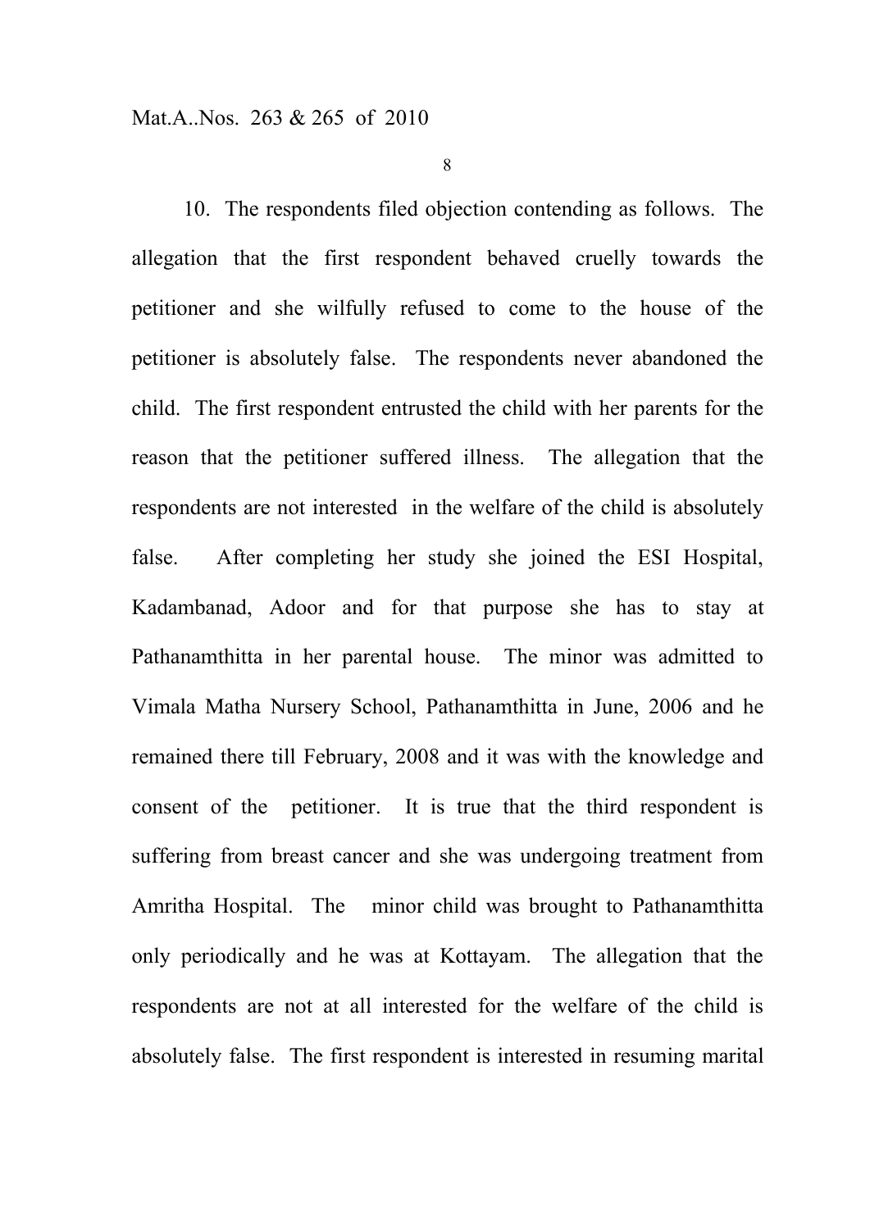10. The respondents filed objection contending as follows. The allegation that the first respondent behaved cruelly towards the petitioner and she wilfully refused to come to the house of the petitioner is absolutely false. The respondents never abandoned the child. The first respondent entrusted the child with her parents for the reason that the petitioner suffered illness. The allegation that the respondents are not interested in the welfare of the child is absolutely false. After completing her study she joined the ESI Hospital, Kadambanad, Adoor and for that purpose she has to stay at Pathanamthitta in her parental house. The minor was admitted to Vimala Matha Nursery School, Pathanamthitta in June, 2006 and he remained there till February, 2008 and it was with the knowledge and consent of the petitioner. It is true that the third respondent is suffering from breast cancer and she was undergoing treatment from Amritha Hospital. The minor child was brought to Pathanamthitta only periodically and he was at Kottayam. The allegation that the respondents are not at all interested for the welfare of the child is absolutely false. The first respondent is interested in resuming marital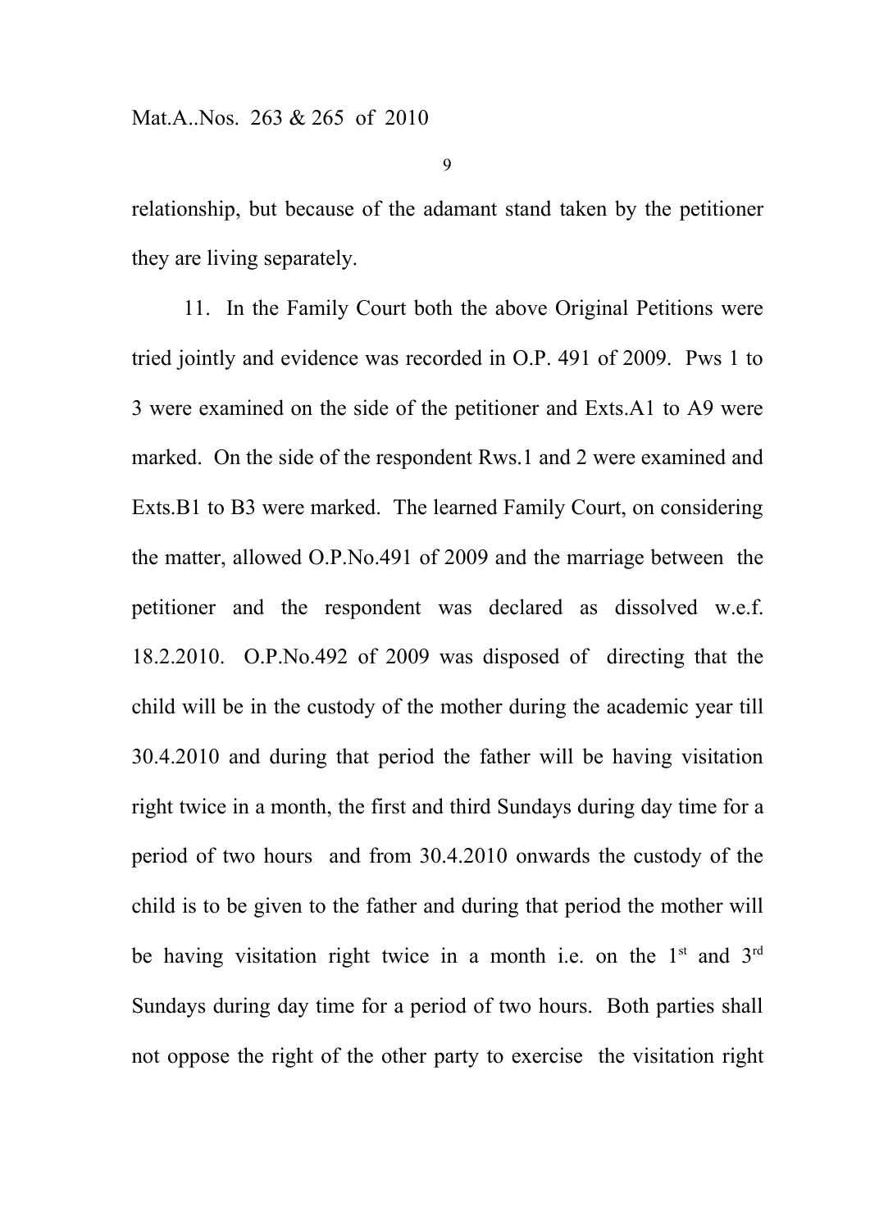relationship, but because of the adamant stand taken by the petitioner they are living separately.

11. In the Family Court both the above Original Petitions were tried jointly and evidence was recorded in O.P. 491 of 2009. Pws 1 to 3 were examined on the side of the petitioner and Exts.A1 to A9 were marked. On the side of the respondent Rws.1 and 2 were examined and Exts.B1 to B3 were marked. The learned Family Court, on considering the matter, allowed O.P.No.491 of 2009 and the marriage between the petitioner and the respondent was declared as dissolved w.e.f. 18.2.2010. O.P.No.492 of 2009 was disposed of directing that the child will be in the custody of the mother during the academic year till 30.4.2010 and during that period the father will be having visitation right twice in a month, the first and third Sundays during day time for a period of two hours and from 30.4.2010 onwards the custody of the child is to be given to the father and during that period the mother will be having visitation right twice in a month i.e. on the  $1<sup>st</sup>$  and  $3<sup>rd</sup>$ Sundays during day time for a period of two hours. Both parties shall not oppose the right of the other party to exercise the visitation right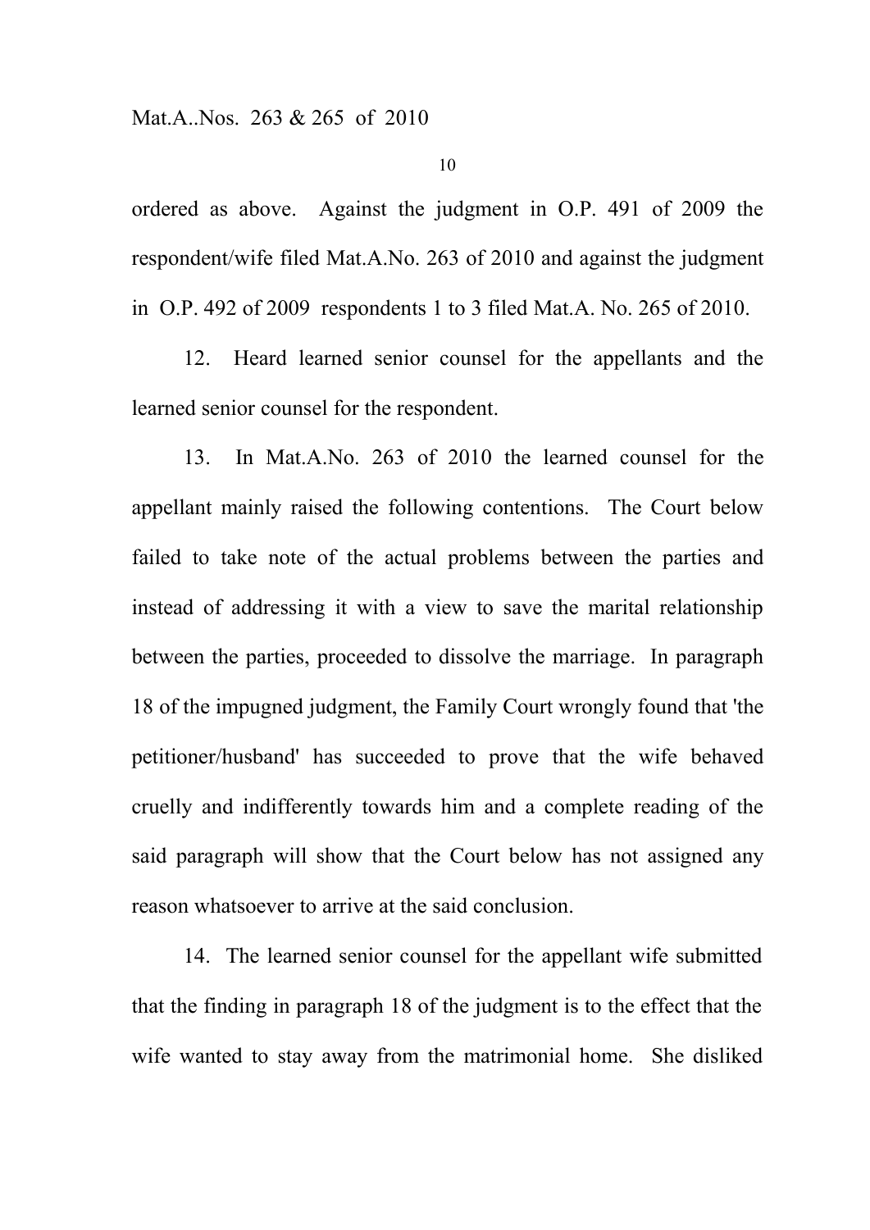ordered as above. Against the judgment in O.P. 491 of 2009 the respondent/wife filed Mat.A.No. 263 of 2010 and against the judgment in O.P. 492 of 2009 respondents 1 to 3 filed Mat.A. No. 265 of 2010.

12. Heard learned senior counsel for the appellants and the learned senior counsel for the respondent.

13. In Mat.A.No. 263 of 2010 the learned counsel for the appellant mainly raised the following contentions. The Court below failed to take note of the actual problems between the parties and instead of addressing it with a view to save the marital relationship between the parties, proceeded to dissolve the marriage. In paragraph 18 of the impugned judgment, the Family Court wrongly found that 'the petitioner/husband' has succeeded to prove that the wife behaved cruelly and indifferently towards him and a complete reading of the said paragraph will show that the Court below has not assigned any reason whatsoever to arrive at the said conclusion.

14. The learned senior counsel for the appellant wife submitted that the finding in paragraph 18 of the judgment is to the effect that the wife wanted to stay away from the matrimonial home. She disliked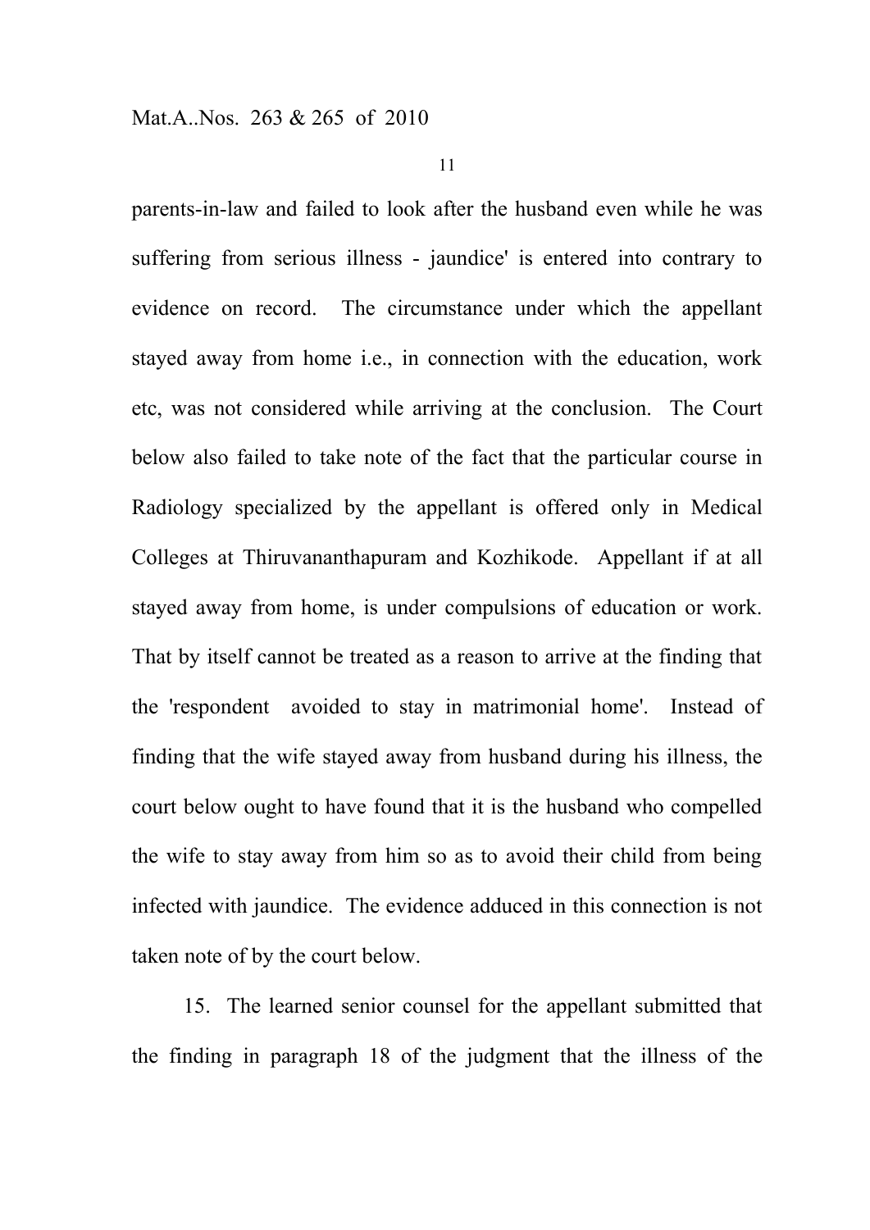parents-in-law and failed to look after the husband even while he was suffering from serious illness - jaundice' is entered into contrary to evidence on record. The circumstance under which the appellant stayed away from home i.e., in connection with the education, work etc, was not considered while arriving at the conclusion. The Court below also failed to take note of the fact that the particular course in Radiology specialized by the appellant is offered only in Medical Colleges at Thiruvananthapuram and Kozhikode. Appellant if at all stayed away from home, is under compulsions of education or work. That by itself cannot be treated as a reason to arrive at the finding that the 'respondent avoided to stay in matrimonial home'. Instead of finding that the wife stayed away from husband during his illness, the court below ought to have found that it is the husband who compelled the wife to stay away from him so as to avoid their child from being infected with jaundice. The evidence adduced in this connection is not taken note of by the court below.

15. The learned senior counsel for the appellant submitted that the finding in paragraph 18 of the judgment that the illness of the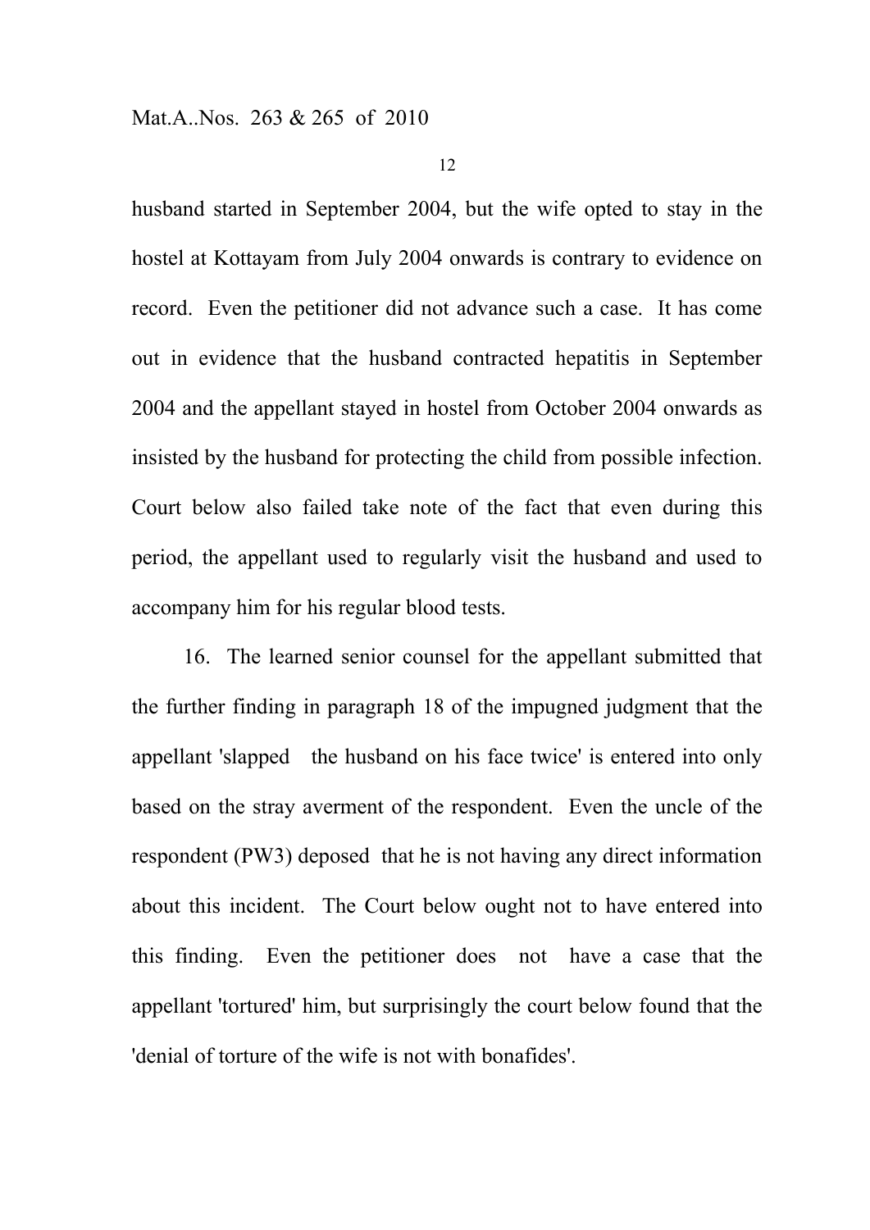husband started in September 2004, but the wife opted to stay in the hostel at Kottayam from July 2004 onwards is contrary to evidence on record. Even the petitioner did not advance such a case. It has come out in evidence that the husband contracted hepatitis in September 2004 and the appellant stayed in hostel from October 2004 onwards as insisted by the husband for protecting the child from possible infection. Court below also failed take note of the fact that even during this period, the appellant used to regularly visit the husband and used to accompany him for his regular blood tests.

16. The learned senior counsel for the appellant submitted that the further finding in paragraph 18 of the impugned judgment that the appellant 'slapped the husband on his face twice' is entered into only based on the stray averment of the respondent. Even the uncle of the respondent (PW3) deposed that he is not having any direct information about this incident. The Court below ought not to have entered into this finding. Even the petitioner does not have a case that the appellant 'tortured' him, but surprisingly the court below found that the 'denial of torture of the wife is not with bonafides'.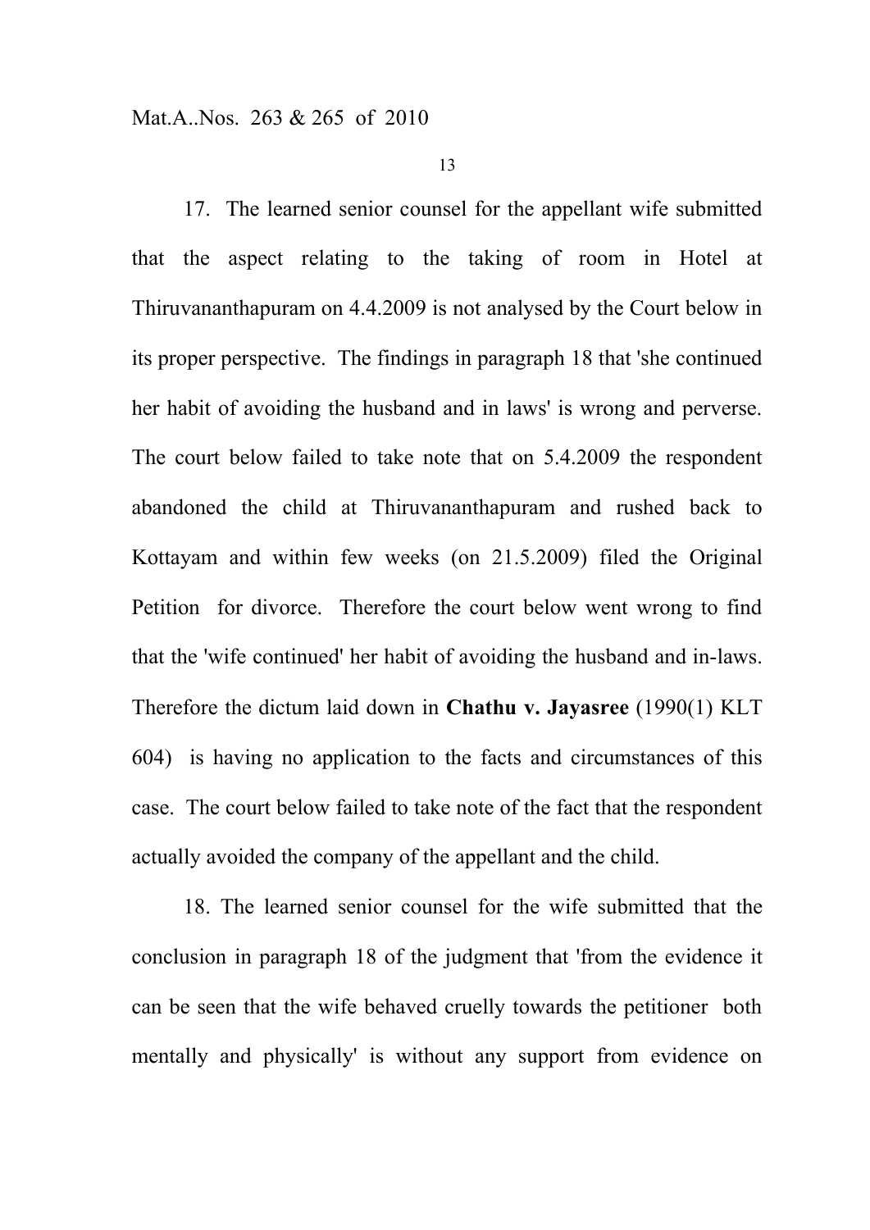17. The learned senior counsel for the appellant wife submitted that the aspect relating to the taking of room in Hotel at Thiruvananthapuram on 4.4.2009 is not analysed by the Court below in its proper perspective. The findings in paragraph 18 that 'she continued her habit of avoiding the husband and in laws' is wrong and perverse. The court below failed to take note that on 5.4.2009 the respondent abandoned the child at Thiruvananthapuram and rushed back to Kottayam and within few weeks (on 21.5.2009) filed the Original Petition for divorce. Therefore the court below went wrong to find that the 'wife continued' her habit of avoiding the husband and in-laws. Therefore the dictum laid down in **Chathu v. Jayasree** (1990(1) KLT 604) is having no application to the facts and circumstances of this case. The court below failed to take note of the fact that the respondent actually avoided the company of the appellant and the child.

18. The learned senior counsel for the wife submitted that the conclusion in paragraph 18 of the judgment that 'from the evidence it can be seen that the wife behaved cruelly towards the petitioner both mentally and physically' is without any support from evidence on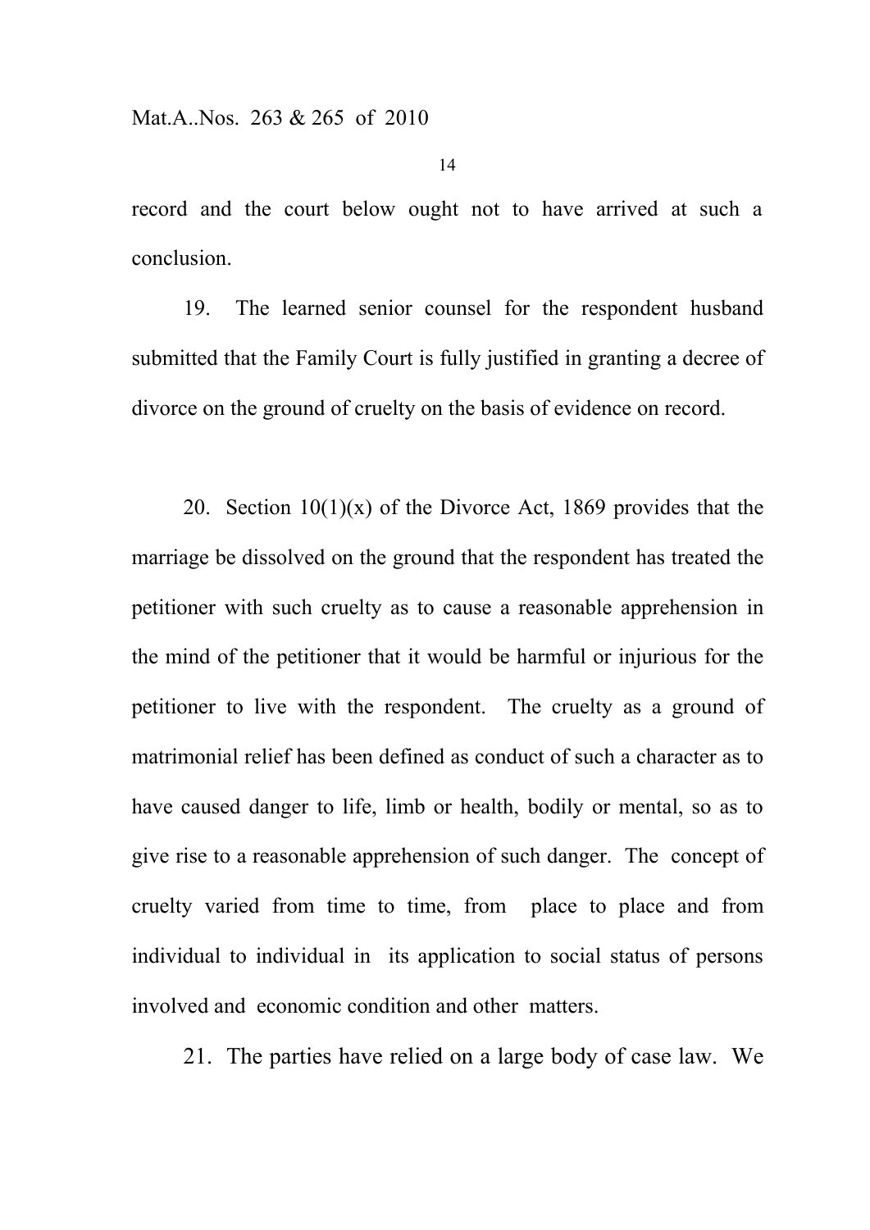record and the court below ought not to have arrived at such a conclusion.

19. The learned senior counsel for the respondent husband submitted that the Family Court is fully justified in granting a decree of divorce on the ground of cruelty on the basis of evidence on record.

20. Section  $10(1)(x)$  of the Divorce Act, 1869 provides that the marriage be dissolved on the ground that the respondent has treated the petitioner with such cruelty as to cause a reasonable apprehension in the mind of the petitioner that it would be harmful or injurious for the petitioner to live with the respondent. The cruelty as a ground of matrimonial relief has been defined as conduct of such a character as to have caused danger to life, limb or health, bodily or mental, so as to give rise to a reasonable apprehension of such danger. The concept of cruelty varied from time to time, from place to place and from individual to individual in its application to social status of persons involved and economic condition and other matters.

21. The parties have relied on a large body of case law. We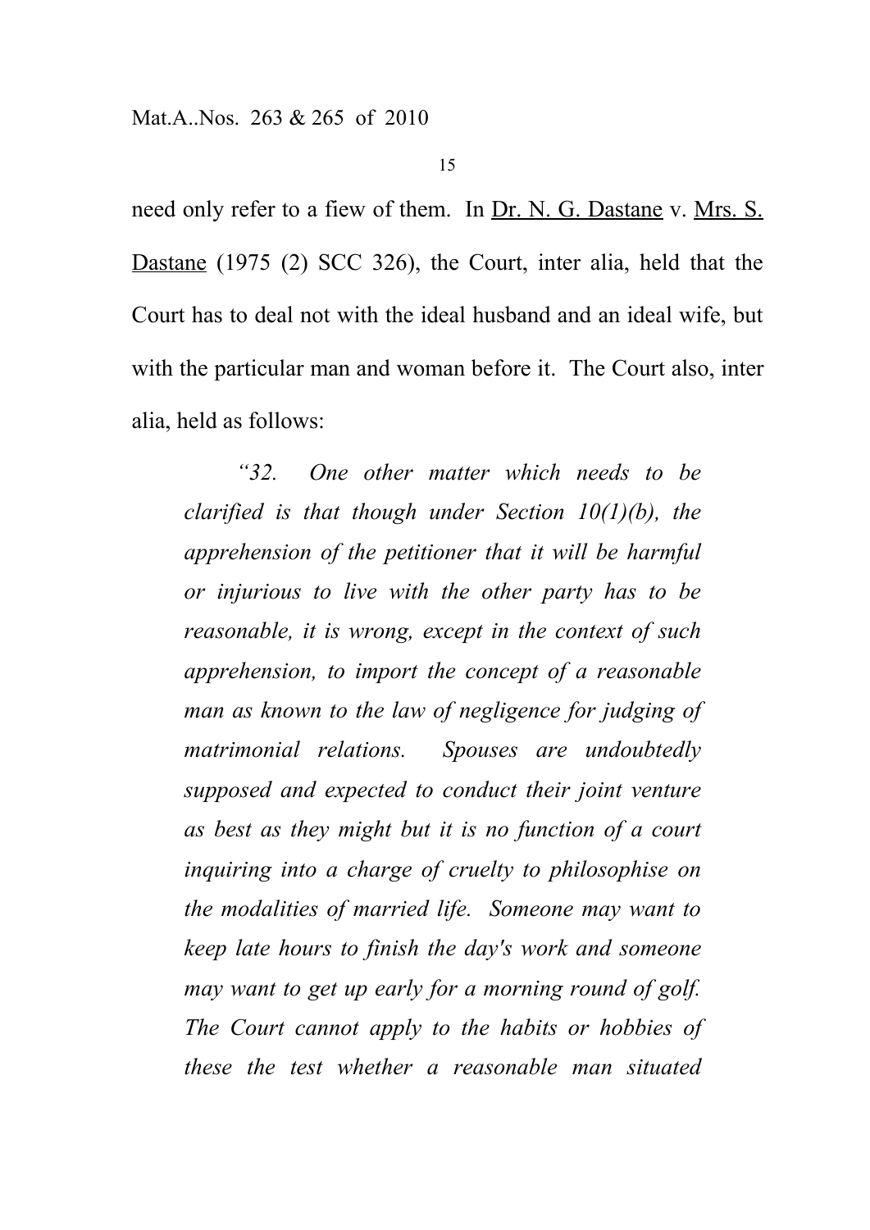need only refer to a fiew of them. In Dr. N. G. Dastane v. Mrs. S. Dastane (1975 (2) SCC 326), the Court, inter alia, held that the Court has to deal not with the ideal husband and an ideal wife, but with the particular man and woman before it. The Court also, inter alia, held as follows:

*"32. One other matter which needs to be clarified is that though under Section 10(1)(b), the apprehension of the petitioner that it will be harmful or injurious to live with the other party has to be reasonable, it is wrong, except in the context of such apprehension, to import the concept of a reasonable man as known to the law of negligence for judging of matrimonial relations. Spouses are undoubtedly supposed and expected to conduct their joint venture as best as they might but it is no function of a court inquiring into a charge of cruelty to philosophise on the modalities of married life. Someone may want to keep late hours to finish the day's work and someone may want to get up early for a morning round of golf. The Court cannot apply to the habits or hobbies of these the test whether a reasonable man situated*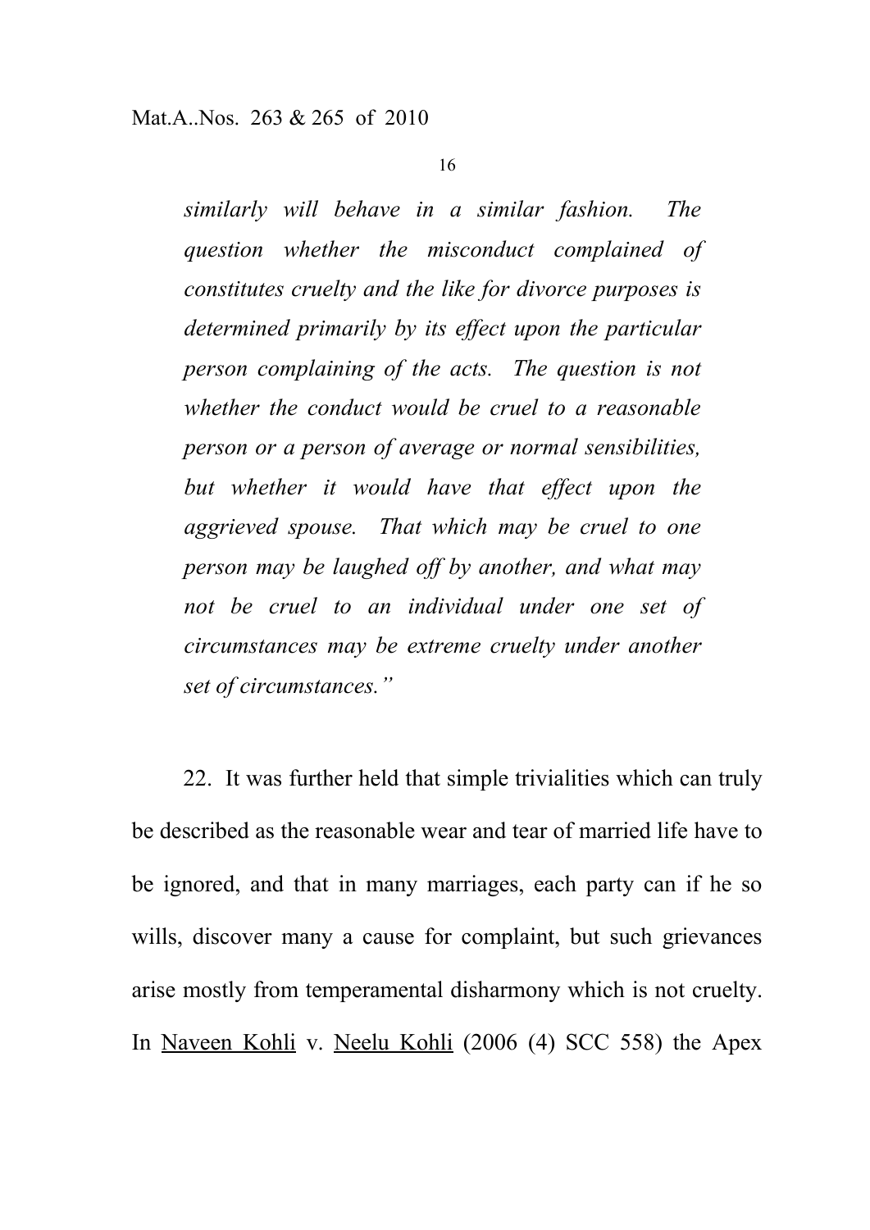*similarly will behave in a similar fashion. The question whether the misconduct complained of constitutes cruelty and the like for divorce purposes is determined primarily by its effect upon the particular person complaining of the acts. The question is not whether the conduct would be cruel to a reasonable person or a person of average or normal sensibilities, but whether it would have that effect upon the aggrieved spouse. That which may be cruel to one person may be laughed off by another, and what may not be cruel to an individual under one set of circumstances may be extreme cruelty under another set of circumstances."*

22. It was further held that simple trivialities which can truly be described as the reasonable wear and tear of married life have to be ignored, and that in many marriages, each party can if he so wills, discover many a cause for complaint, but such grievances arise mostly from temperamental disharmony which is not cruelty. In Naveen Kohli v. Neelu Kohli (2006 (4) SCC 558) the Apex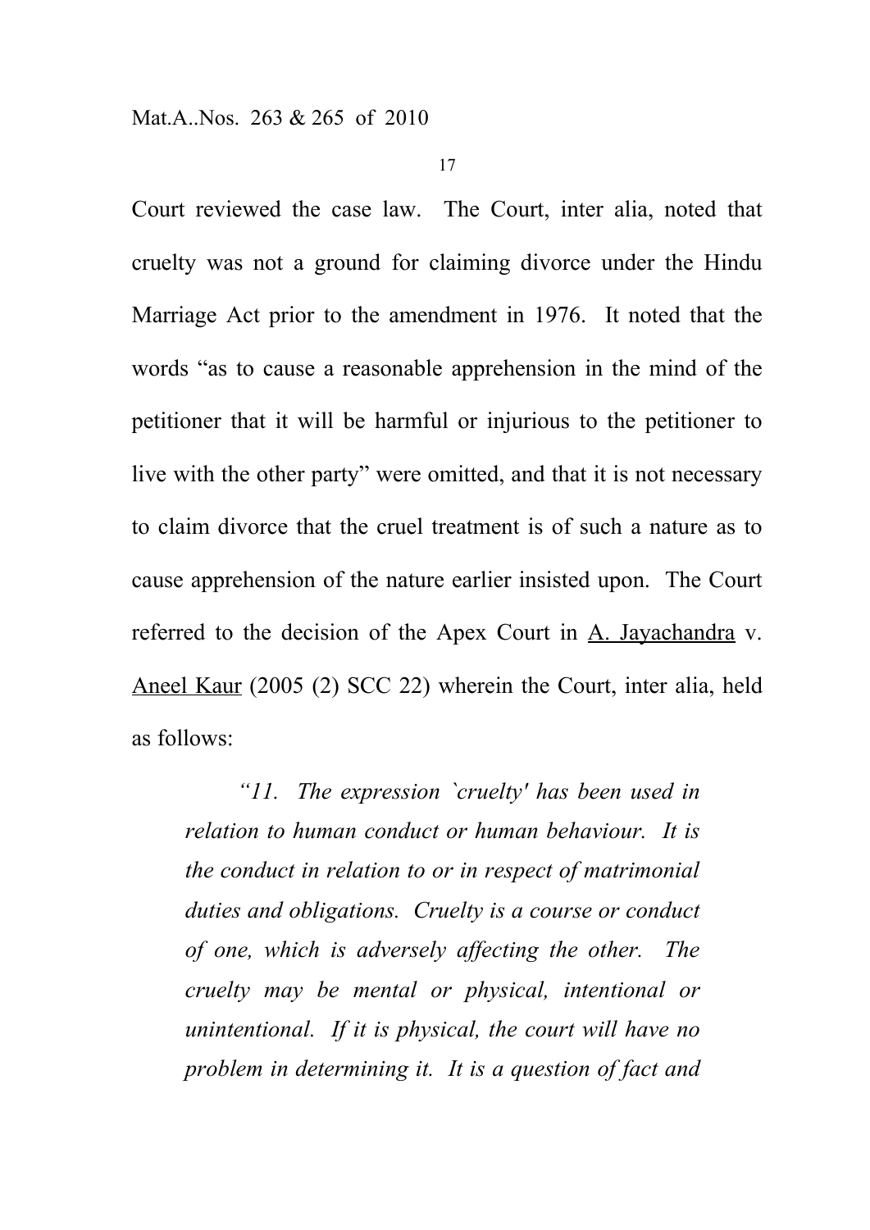Court reviewed the case law. The Court, inter alia, noted that cruelty was not a ground for claiming divorce under the Hindu Marriage Act prior to the amendment in 1976. It noted that the words "as to cause a reasonable apprehension in the mind of the petitioner that it will be harmful or injurious to the petitioner to live with the other party" were omitted, and that it is not necessary to claim divorce that the cruel treatment is of such a nature as to cause apprehension of the nature earlier insisted upon. The Court referred to the decision of the Apex Court in A. Jayachandra v. Aneel Kaur (2005 (2) SCC 22) wherein the Court, inter alia, held as follows:

*"11. The expression `cruelty' has been used in relation to human conduct or human behaviour. It is the conduct in relation to or in respect of matrimonial duties and obligations. Cruelty is a course or conduct of one, which is adversely affecting the other. The cruelty may be mental or physical, intentional or unintentional. If it is physical, the court will have no problem in determining it. It is a question of fact and*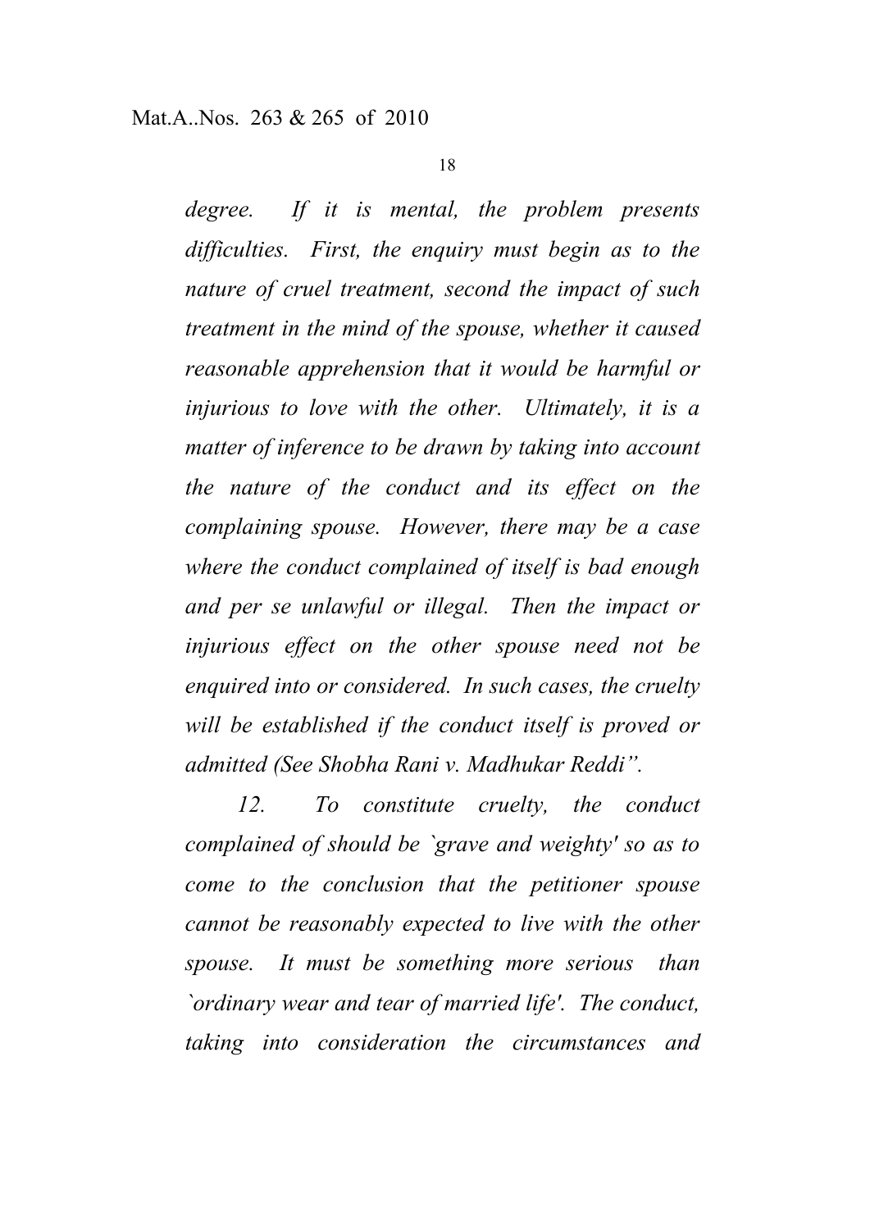*degree. If it is mental, the problem presents difficulties. First, the enquiry must begin as to the nature of cruel treatment, second the impact of such treatment in the mind of the spouse, whether it caused reasonable apprehension that it would be harmful or injurious to love with the other. Ultimately, it is a matter of inference to be drawn by taking into account the nature of the conduct and its effect on the complaining spouse. However, there may be a case where the conduct complained of itself is bad enough and per se unlawful or illegal. Then the impact or injurious effect on the other spouse need not be enquired into or considered. In such cases, the cruelty will be established if the conduct itself is proved or admitted (See Shobha Rani v. Madhukar Reddi".*

*12. To constitute cruelty, the conduct complained of should be `grave and weighty' so as to come to the conclusion that the petitioner spouse cannot be reasonably expected to live with the other spouse. It must be something more serious than `ordinary wear and tear of married life'. The conduct, taking into consideration the circumstances and*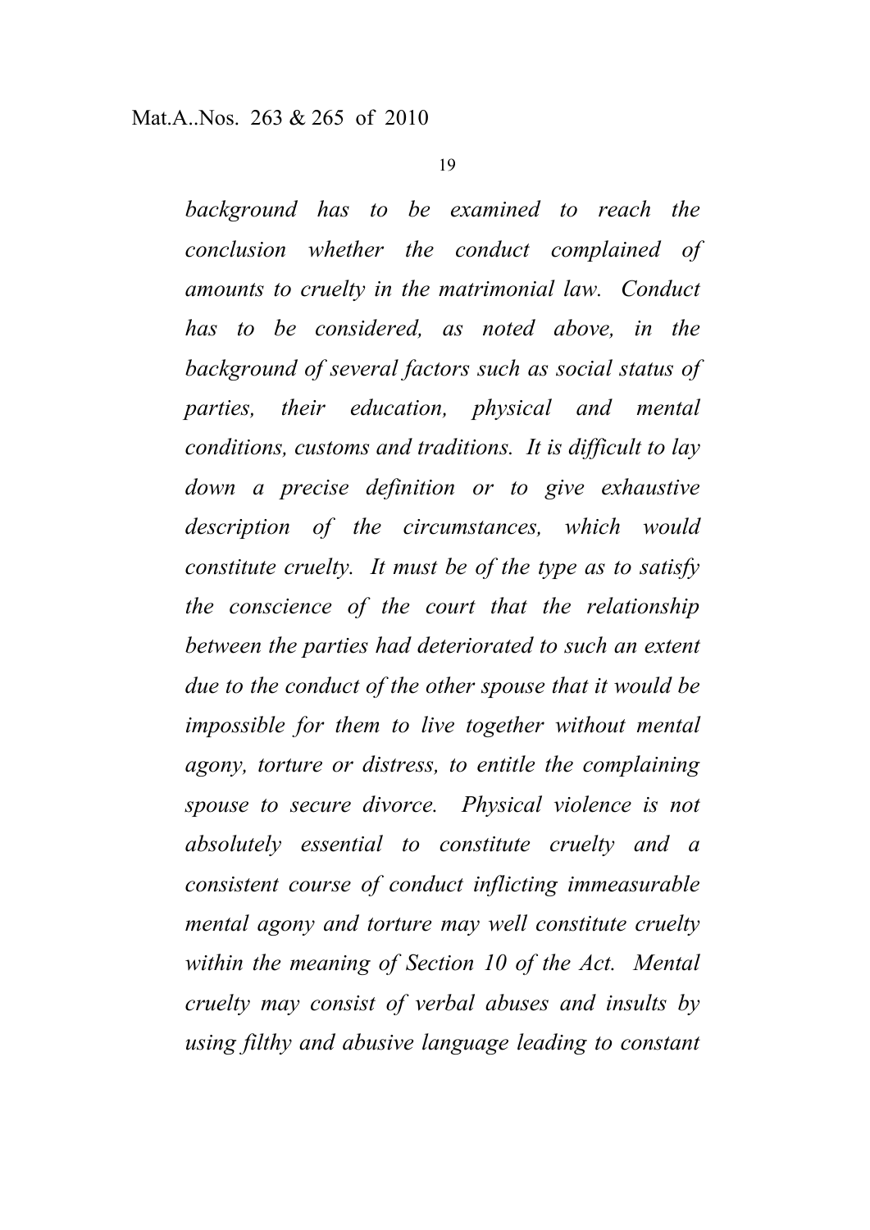*background has to be examined to reach the conclusion whether the conduct complained of amounts to cruelty in the matrimonial law. Conduct has to be considered, as noted above, in the background of several factors such as social status of parties, their education, physical and mental conditions, customs and traditions. It is difficult to lay down a precise definition or to give exhaustive description of the circumstances, which would constitute cruelty. It must be of the type as to satisfy the conscience of the court that the relationship between the parties had deteriorated to such an extent due to the conduct of the other spouse that it would be impossible for them to live together without mental agony, torture or distress, to entitle the complaining spouse to secure divorce. Physical violence is not absolutely essential to constitute cruelty and a consistent course of conduct inflicting immeasurable mental agony and torture may well constitute cruelty within the meaning of Section 10 of the Act. Mental cruelty may consist of verbal abuses and insults by using filthy and abusive language leading to constant*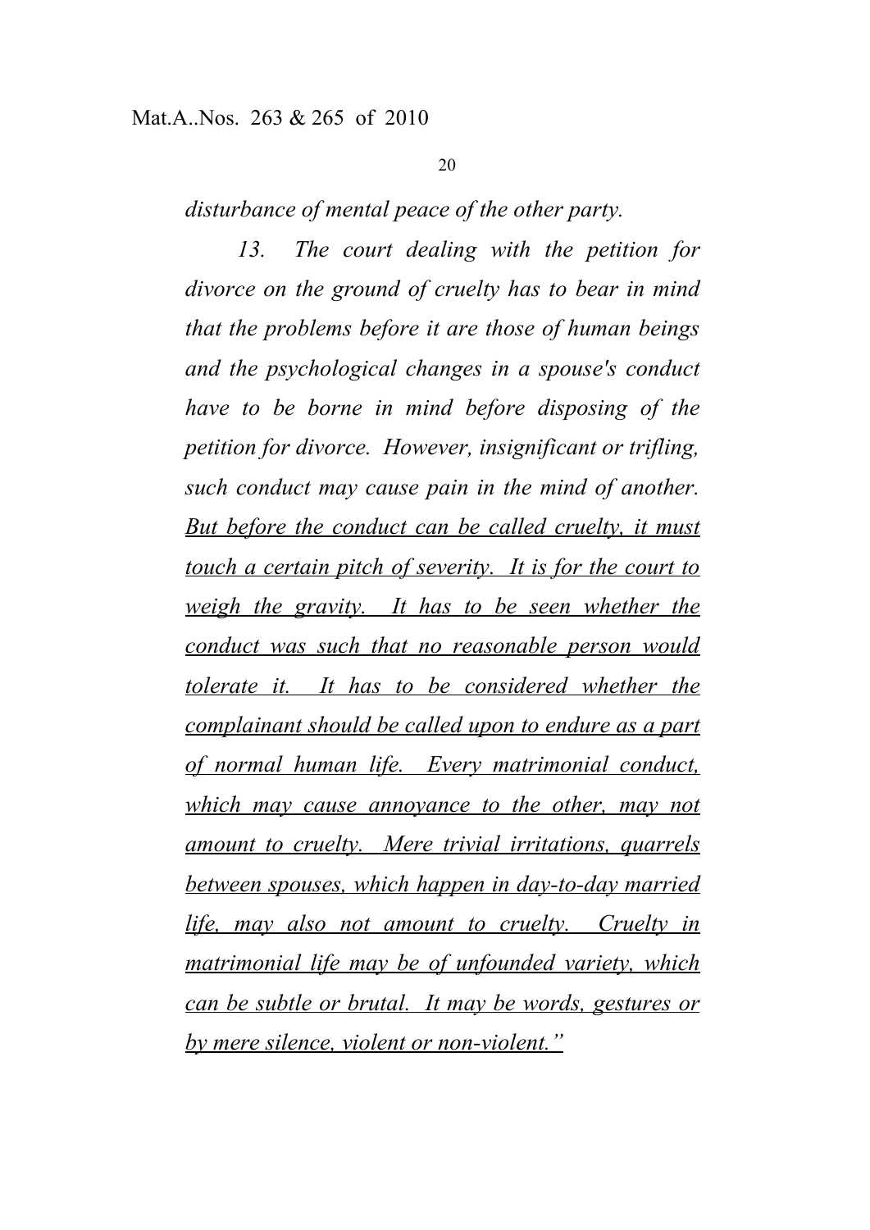*disturbance of mental peace of the other party.*

*13. The court dealing with the petition for divorce on the ground of cruelty has to bear in mind that the problems before it are those of human beings and the psychological changes in a spouse's conduct have to be borne in mind before disposing of the petition for divorce. However, insignificant or trifling, such conduct may cause pain in the mind of another. But before the conduct can be called cruelty, it must touch a certain pitch of severity. It is for the court to weigh the gravity. It has to be seen whether the conduct was such that no reasonable person would tolerate it. It has to be considered whether the complainant should be called upon to endure as a part of normal human life. Every matrimonial conduct, which may cause annoyance to the other, may not amount to cruelty. Mere trivial irritations, quarrels between spouses, which happen in day-to-day married life, may also not amount to cruelty. Cruelty in matrimonial life may be of unfounded variety, which can be subtle or brutal. It may be words, gestures or by mere silence, violent or non-violent."*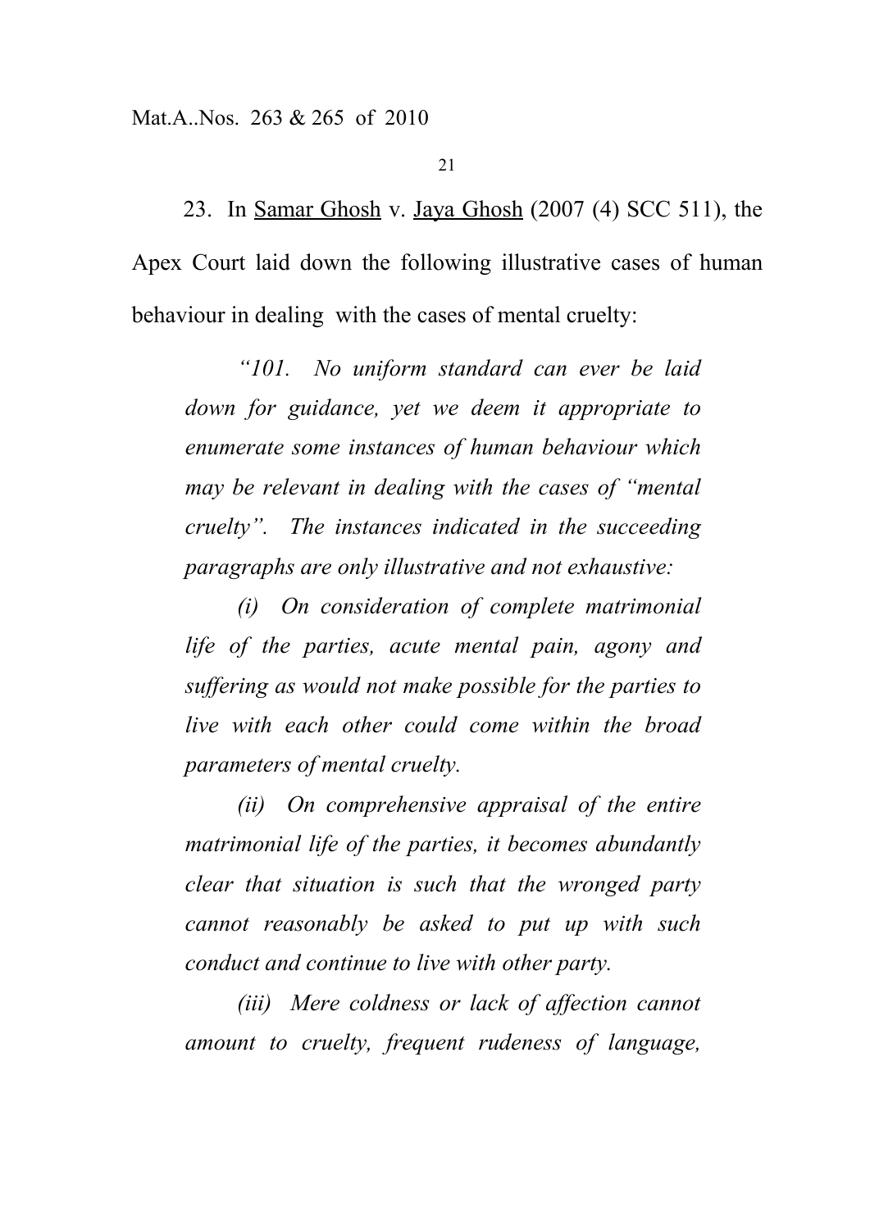#### Mat.A..Nos. 263 & 265 of 2010

21

23. In Samar Ghosh v. Jaya Ghosh (2007 (4) SCC 511), the Apex Court laid down the following illustrative cases of human behaviour in dealing with the cases of mental cruelty:

*"101. No uniform standard can ever be laid down for guidance, yet we deem it appropriate to enumerate some instances of human behaviour which may be relevant in dealing with the cases of "mental cruelty". The instances indicated in the succeeding paragraphs are only illustrative and not exhaustive:*

*(i) On consideration of complete matrimonial life of the parties, acute mental pain, agony and suffering as would not make possible for the parties to live with each other could come within the broad parameters of mental cruelty.*

*(ii) On comprehensive appraisal of the entire matrimonial life of the parties, it becomes abundantly clear that situation is such that the wronged party cannot reasonably be asked to put up with such conduct and continue to live with other party.*

*(iii) Mere coldness or lack of affection cannot amount to cruelty, frequent rudeness of language,*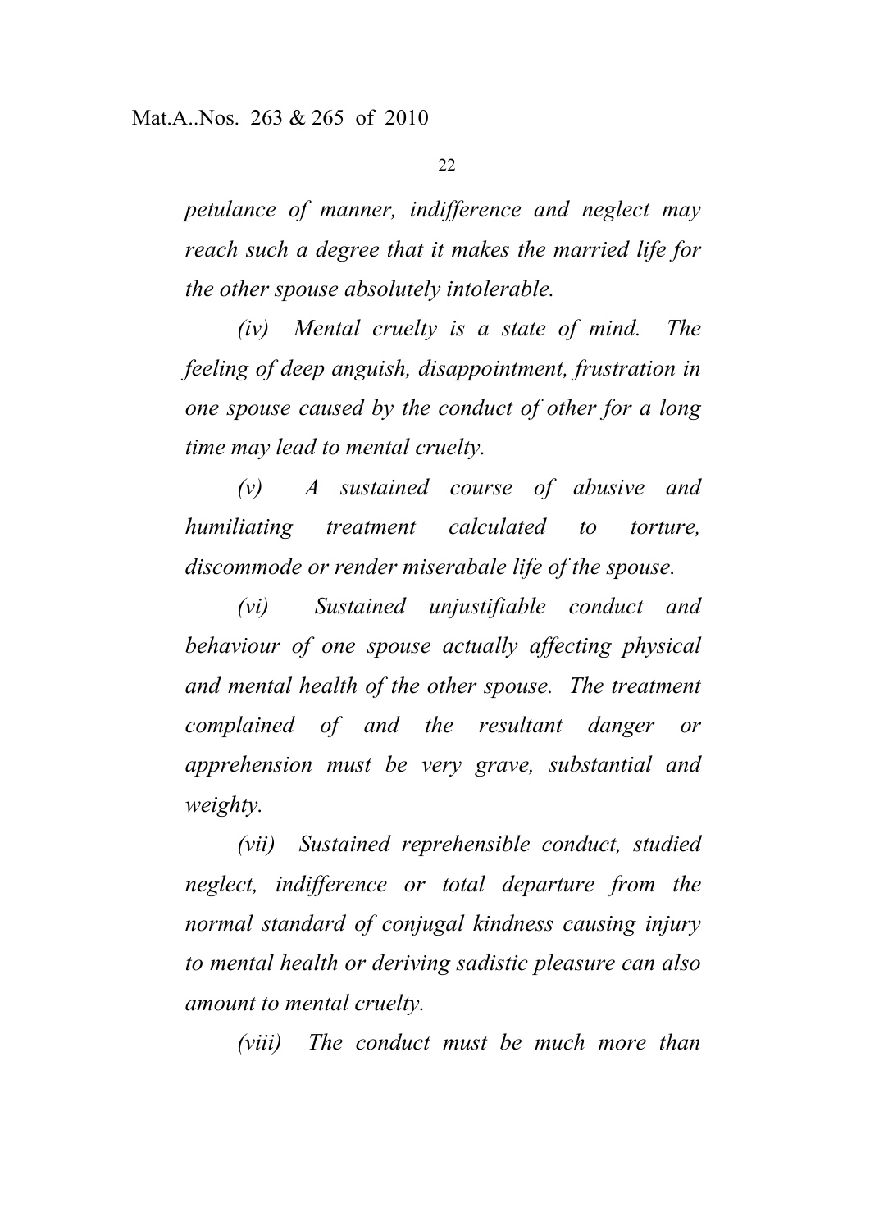*petulance of manner, indifference and neglect may reach such a degree that it makes the married life for the other spouse absolutely intolerable.*

*(iv) Mental cruelty is a state of mind. The feeling of deep anguish, disappointment, frustration in one spouse caused by the conduct of other for a long time may lead to mental cruelty.*

*(v) A sustained course of abusive and humiliating treatment calculated to torture, discommode or render miserabale life of the spouse.*

*(vi) Sustained unjustifiable conduct and behaviour of one spouse actually affecting physical and mental health of the other spouse. The treatment complained of and the resultant danger or apprehension must be very grave, substantial and weighty.*

*(vii) Sustained reprehensible conduct, studied neglect, indifference or total departure from the normal standard of conjugal kindness causing injury to mental health or deriving sadistic pleasure can also amount to mental cruelty.*

*(viii) The conduct must be much more than*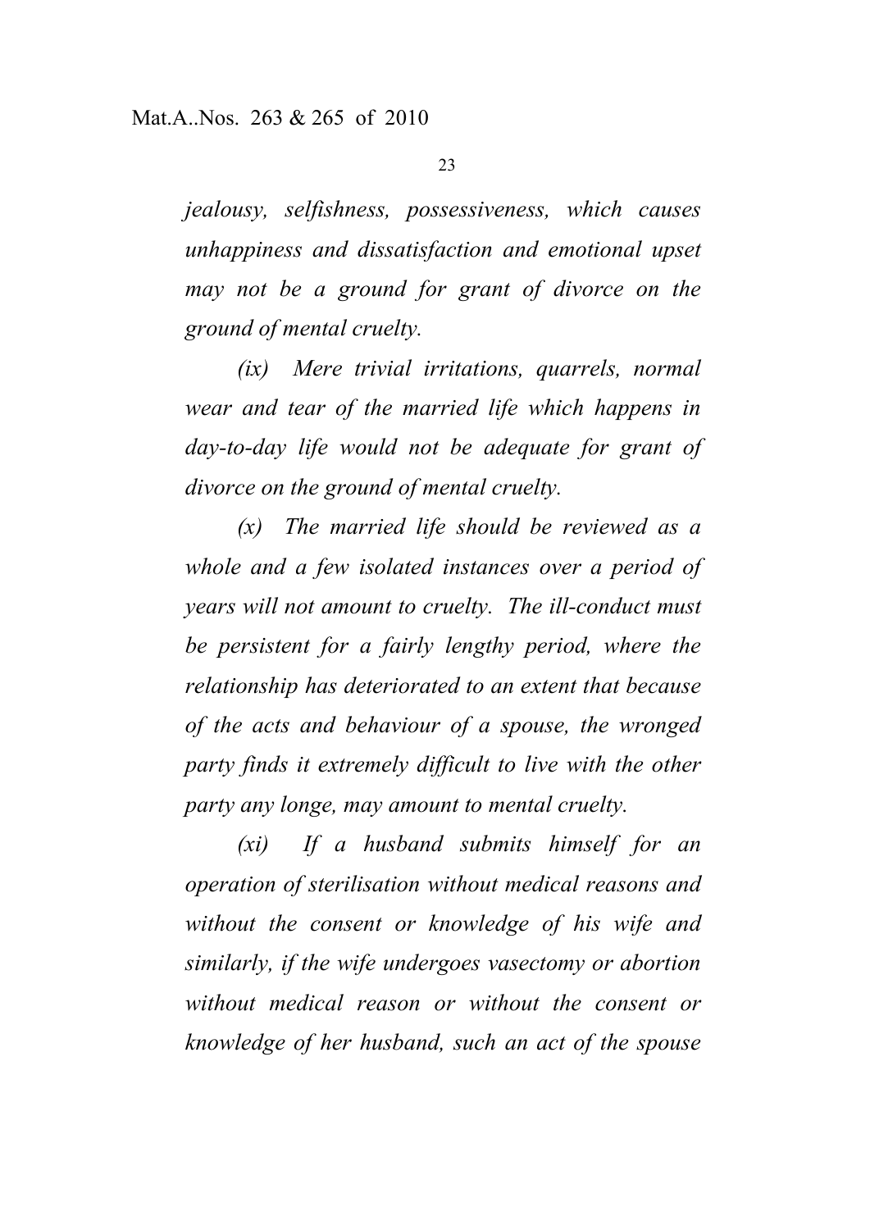*jealousy, selfishness, possessiveness, which causes unhappiness and dissatisfaction and emotional upset may not be a ground for grant of divorce on the ground of mental cruelty.*

*(ix) Mere trivial irritations, quarrels, normal wear and tear of the married life which happens in day-to-day life would not be adequate for grant of divorce on the ground of mental cruelty.*

*(x) The married life should be reviewed as a whole and a few isolated instances over a period of years will not amount to cruelty. The ill-conduct must be persistent for a fairly lengthy period, where the relationship has deteriorated to an extent that because of the acts and behaviour of a spouse, the wronged party finds it extremely difficult to live with the other party any longe, may amount to mental cruelty.*

*(xi) If a husband submits himself for an operation of sterilisation without medical reasons and without the consent or knowledge of his wife and similarly, if the wife undergoes vasectomy or abortion without medical reason or without the consent or knowledge of her husband, such an act of the spouse*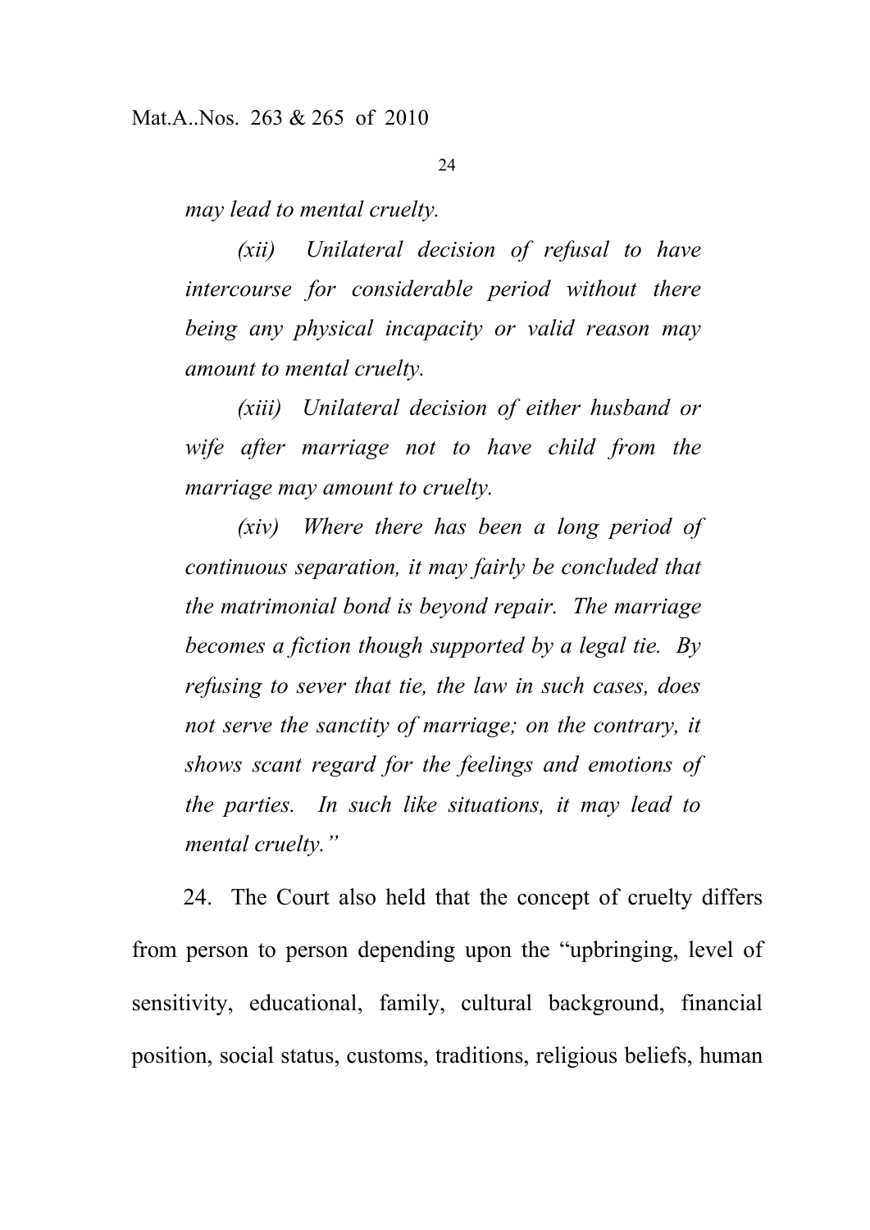*may lead to mental cruelty.*

*(xii) Unilateral decision of refusal to have intercourse for considerable period without there being any physical incapacity or valid reason may amount to mental cruelty.*

*(xiii) Unilateral decision of either husband or wife after marriage not to have child from the marriage may amount to cruelty.*

*(xiv) Where there has been a long period of continuous separation, it may fairly be concluded that the matrimonial bond is beyond repair. The marriage becomes a fiction though supported by a legal tie. By refusing to sever that tie, the law in such cases, does not serve the sanctity of marriage; on the contrary, it shows scant regard for the feelings and emotions of the parties. In such like situations, it may lead to mental cruelty."*

24. The Court also held that the concept of cruelty differs from person to person depending upon the "upbringing, level of sensitivity, educational, family, cultural background, financial position, social status, customs, traditions, religious beliefs, human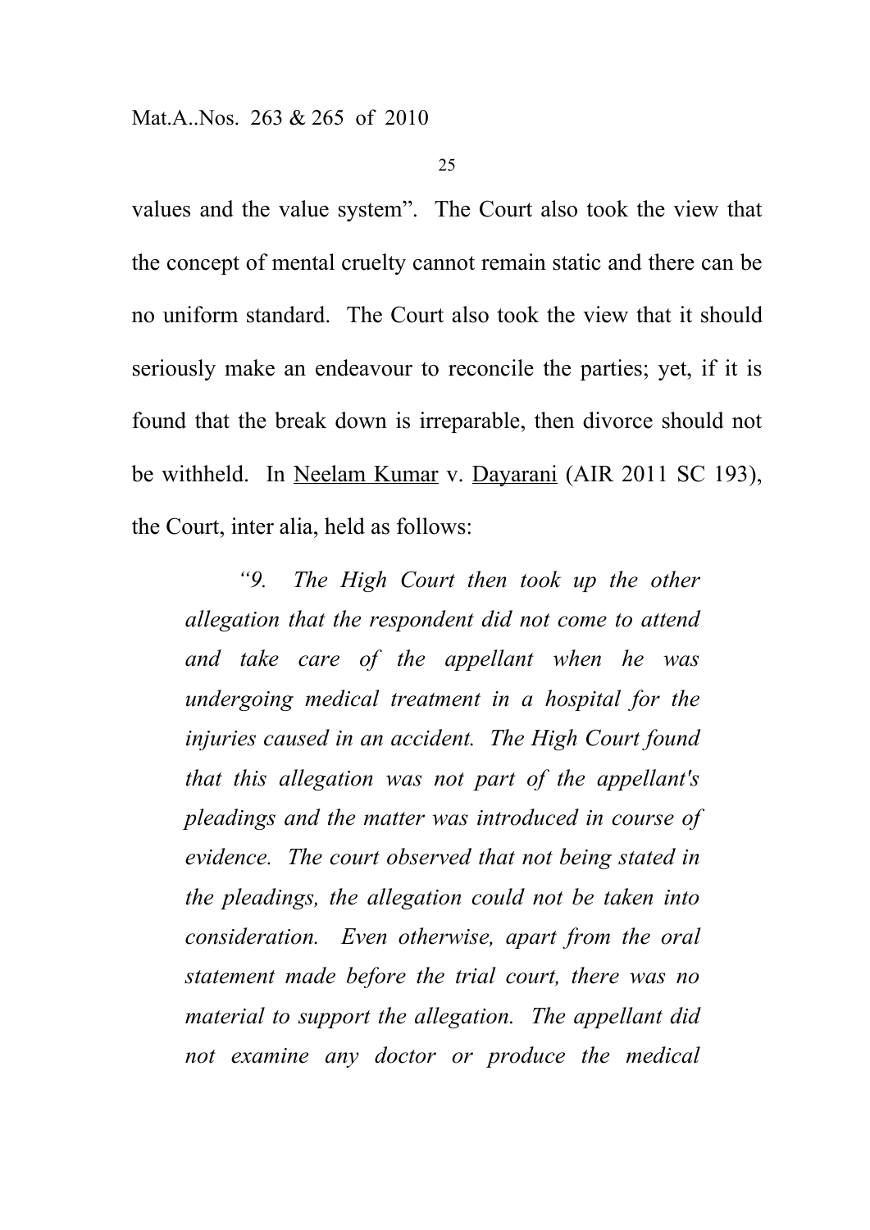values and the value system". The Court also took the view that the concept of mental cruelty cannot remain static and there can be no uniform standard. The Court also took the view that it should seriously make an endeavour to reconcile the parties; yet, if it is found that the break down is irreparable, then divorce should not be withheld. In Neelam Kumar v. Dayarani (AIR 2011 SC 193), the Court, inter alia, held as follows:

*"9. The High Court then took up the other allegation that the respondent did not come to attend and take care of the appellant when he was undergoing medical treatment in a hospital for the injuries caused in an accident. The High Court found that this allegation was not part of the appellant's pleadings and the matter was introduced in course of evidence. The court observed that not being stated in the pleadings, the allegation could not be taken into consideration. Even otherwise, apart from the oral statement made before the trial court, there was no material to support the allegation. The appellant did not examine any doctor or produce the medical*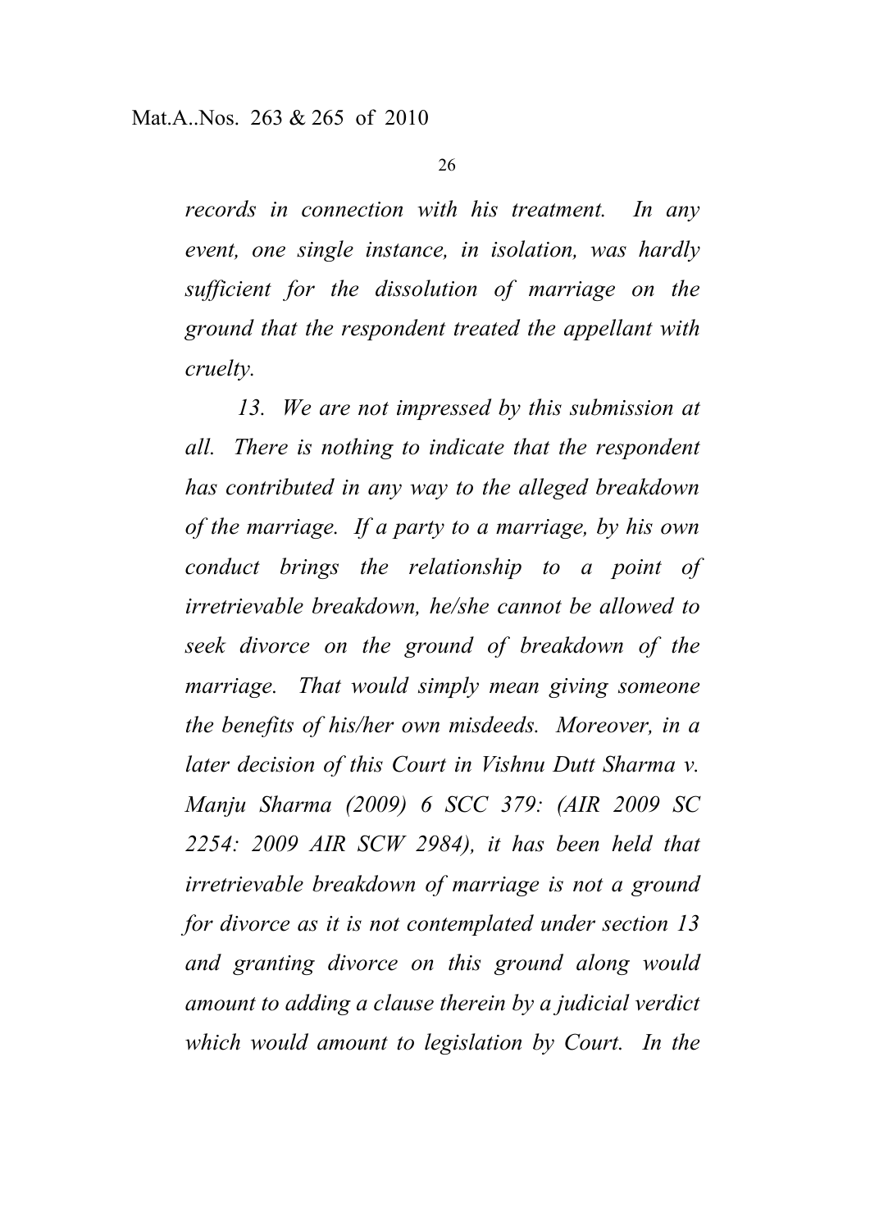*records in connection with his treatment. In any event, one single instance, in isolation, was hardly sufficient for the dissolution of marriage on the ground that the respondent treated the appellant with cruelty.*

*13. We are not impressed by this submission at all. There is nothing to indicate that the respondent has contributed in any way to the alleged breakdown of the marriage. If a party to a marriage, by his own conduct brings the relationship to a point of irretrievable breakdown, he/she cannot be allowed to seek divorce on the ground of breakdown of the marriage. That would simply mean giving someone the benefits of his/her own misdeeds. Moreover, in a later decision of this Court in Vishnu Dutt Sharma v. Manju Sharma (2009) 6 SCC 379: (AIR 2009 SC 2254: 2009 AIR SCW 2984), it has been held that irretrievable breakdown of marriage is not a ground for divorce as it is not contemplated under section 13 and granting divorce on this ground along would amount to adding a clause therein by a judicial verdict which would amount to legislation by Court. In the*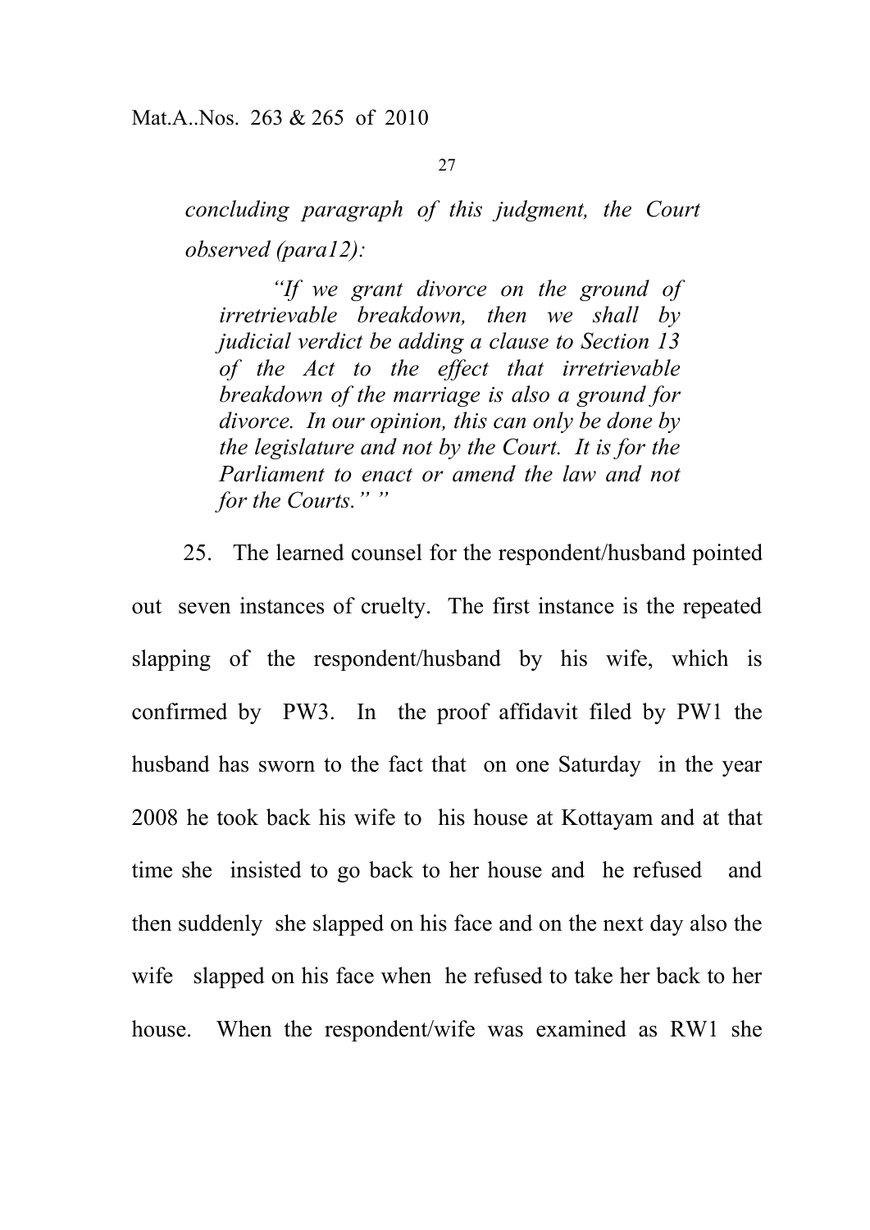*concluding paragraph of this judgment, the Court observed (para12):*

*"If we grant divorce on the ground of irretrievable breakdown, then we shall by judicial verdict be adding a clause to Section 13 of the Act to the effect that irretrievable breakdown of the marriage is also a ground for divorce. In our opinion, this can only be done by the legislature and not by the Court. It is for the Parliament to enact or amend the law and not for the Courts." "*

25. The learned counsel for the respondent/husband pointed out seven instances of cruelty. The first instance is the repeated slapping of the respondent/husband by his wife, which is confirmed by PW3. In the proof affidavit filed by PW1 the husband has sworn to the fact that on one Saturday in the year 2008 he took back his wife to his house at Kottayam and at that time she insisted to go back to her house and he refused and then suddenly she slapped on his face and on the next day also the wife slapped on his face when he refused to take her back to her house. When the respondent/wife was examined as RW1 she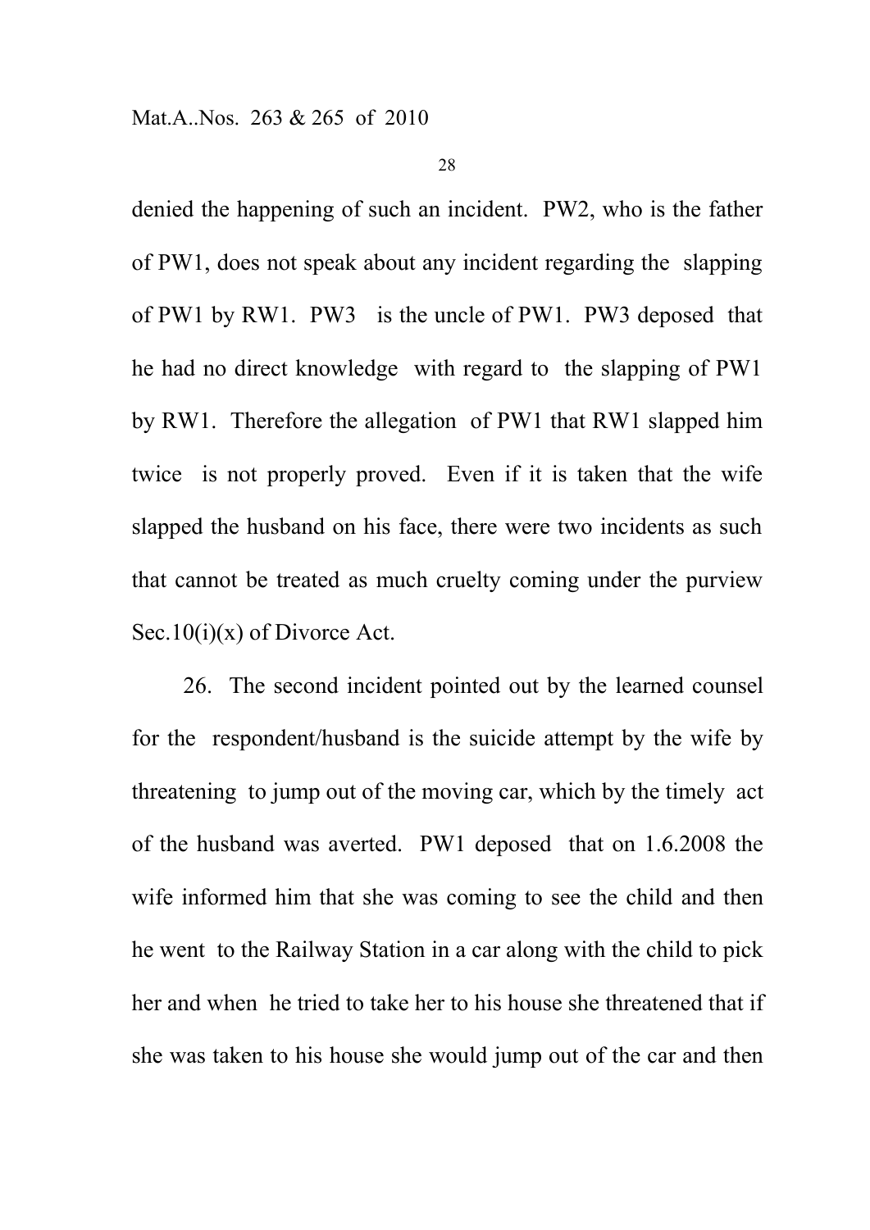denied the happening of such an incident. PW2, who is the father of PW1, does not speak about any incident regarding the slapping of PW1 by RW1. PW3 is the uncle of PW1. PW3 deposed that he had no direct knowledge with regard to the slapping of PW1 by RW1. Therefore the allegation of PW1 that RW1 slapped him twice is not properly proved. Even if it is taken that the wife slapped the husband on his face, there were two incidents as such that cannot be treated as much cruelty coming under the purview Sec.10(i)(x) of Divorce Act.

26. The second incident pointed out by the learned counsel for the respondent/husband is the suicide attempt by the wife by threatening to jump out of the moving car, which by the timely act of the husband was averted. PW1 deposed that on 1.6.2008 the wife informed him that she was coming to see the child and then he went to the Railway Station in a car along with the child to pick her and when he tried to take her to his house she threatened that if she was taken to his house she would jump out of the car and then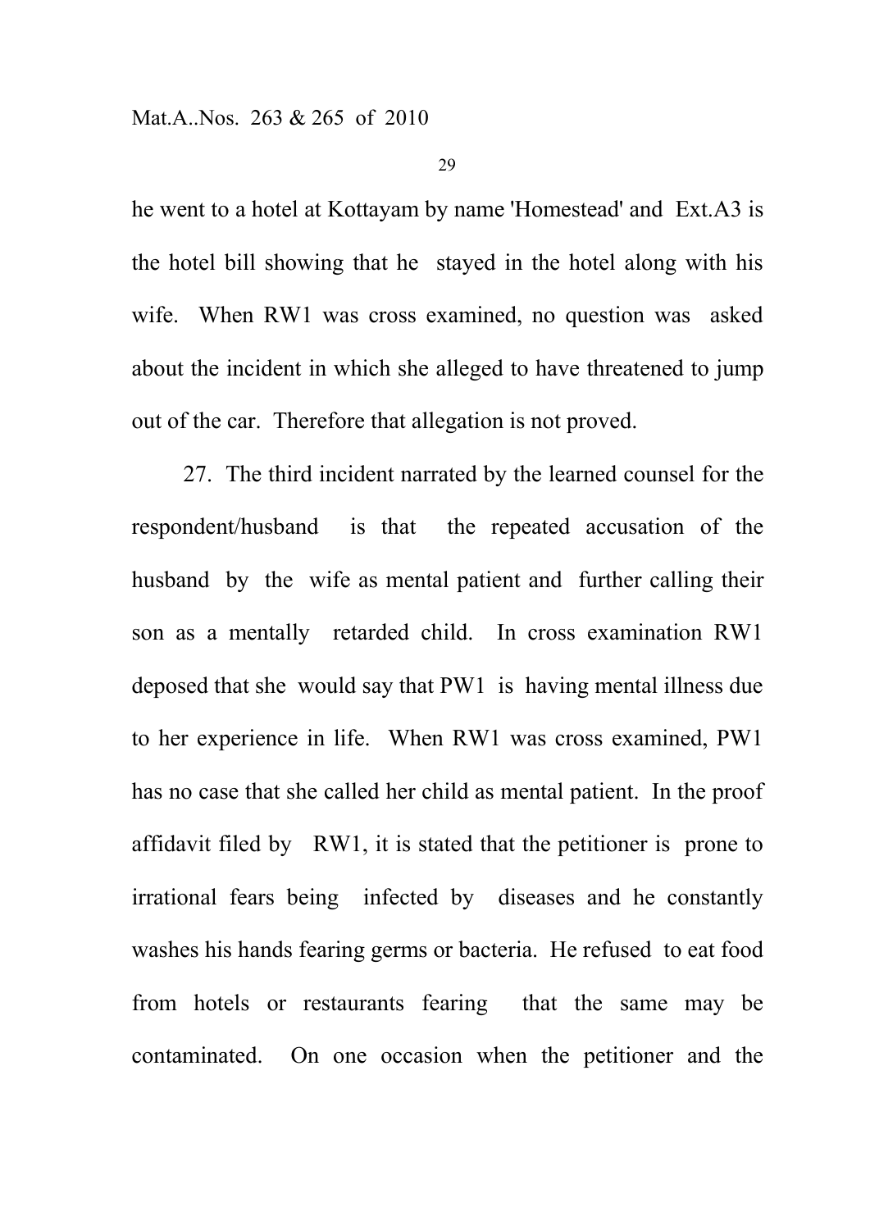he went to a hotel at Kottayam by name 'Homestead' and Ext.A3 is the hotel bill showing that he stayed in the hotel along with his wife. When RW1 was cross examined, no question was asked about the incident in which she alleged to have threatened to jump out of the car. Therefore that allegation is not proved.

27. The third incident narrated by the learned counsel for the respondent/husband is that the repeated accusation of the husband by the wife as mental patient and further calling their son as a mentally retarded child. In cross examination RW1 deposed that she would say that PW1 is having mental illness due to her experience in life. When RW1 was cross examined, PW1 has no case that she called her child as mental patient. In the proof affidavit filed by RW1, it is stated that the petitioner is prone to irrational fears being infected by diseases and he constantly washes his hands fearing germs or bacteria. He refused to eat food from hotels or restaurants fearing that the same may be contaminated. On one occasion when the petitioner and the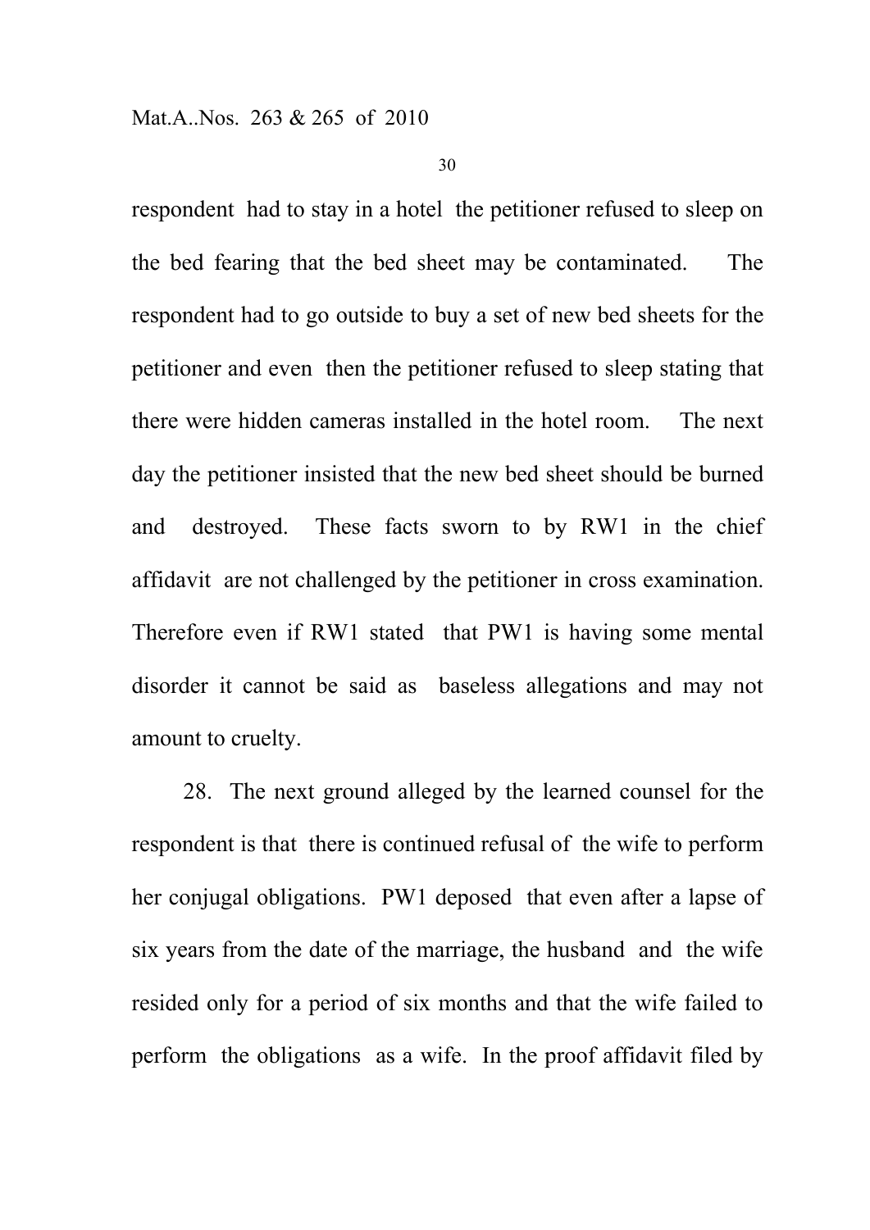respondent had to stay in a hotel the petitioner refused to sleep on the bed fearing that the bed sheet may be contaminated. The respondent had to go outside to buy a set of new bed sheets for the petitioner and even then the petitioner refused to sleep stating that there were hidden cameras installed in the hotel room. The next day the petitioner insisted that the new bed sheet should be burned and destroyed. These facts sworn to by RW1 in the chief affidavit are not challenged by the petitioner in cross examination. Therefore even if RW1 stated that PW1 is having some mental disorder it cannot be said as baseless allegations and may not amount to cruelty.

28. The next ground alleged by the learned counsel for the respondent is that there is continued refusal of the wife to perform her conjugal obligations. PW1 deposed that even after a lapse of six years from the date of the marriage, the husband and the wife resided only for a period of six months and that the wife failed to perform the obligations as a wife. In the proof affidavit filed by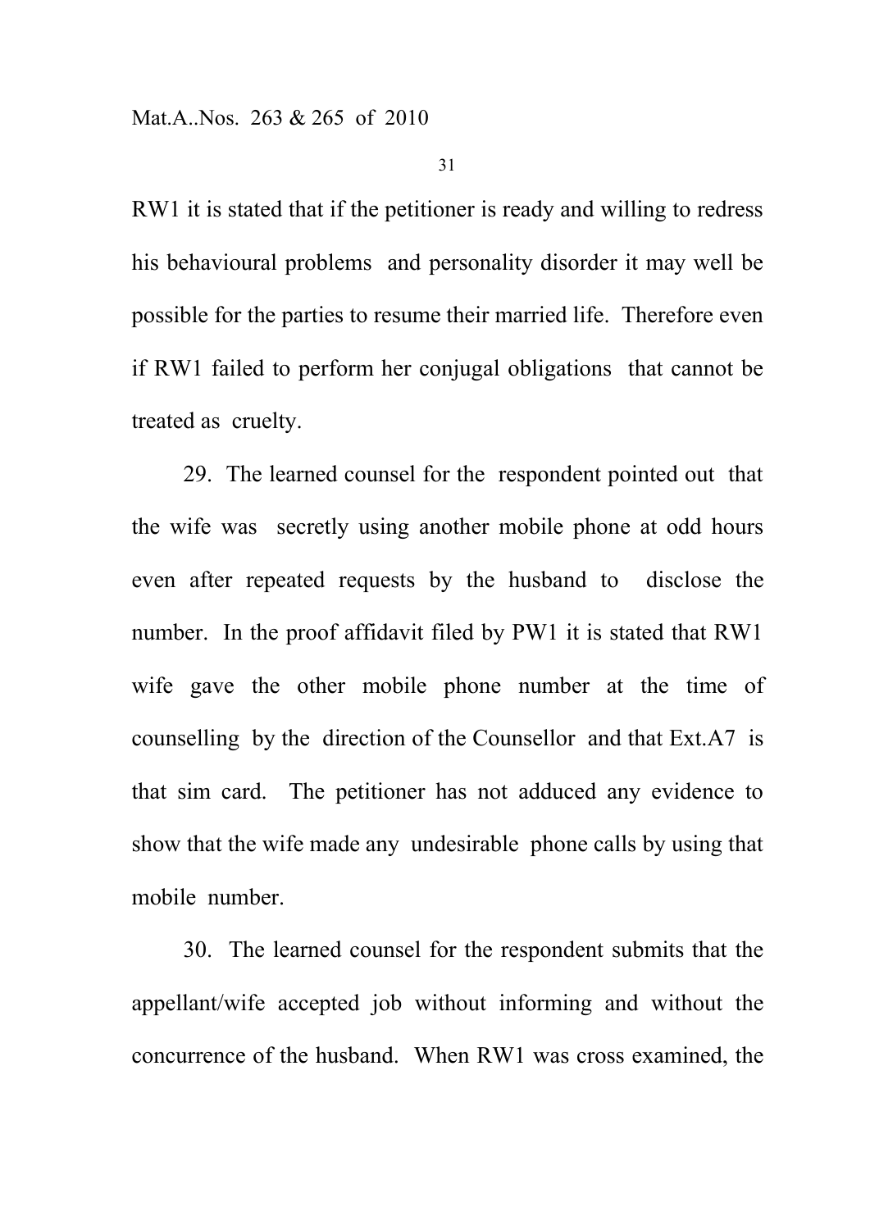RW1 it is stated that if the petitioner is ready and willing to redress his behavioural problems and personality disorder it may well be possible for the parties to resume their married life. Therefore even if RW1 failed to perform her conjugal obligations that cannot be treated as cruelty.

29. The learned counsel for the respondent pointed out that the wife was secretly using another mobile phone at odd hours even after repeated requests by the husband to disclose the number. In the proof affidavit filed by PW1 it is stated that RW1 wife gave the other mobile phone number at the time of counselling by the direction of the Counsellor and that Ext.A7 is that sim card. The petitioner has not adduced any evidence to show that the wife made any undesirable phone calls by using that mobile number.

30. The learned counsel for the respondent submits that the appellant/wife accepted job without informing and without the concurrence of the husband. When RW1 was cross examined, the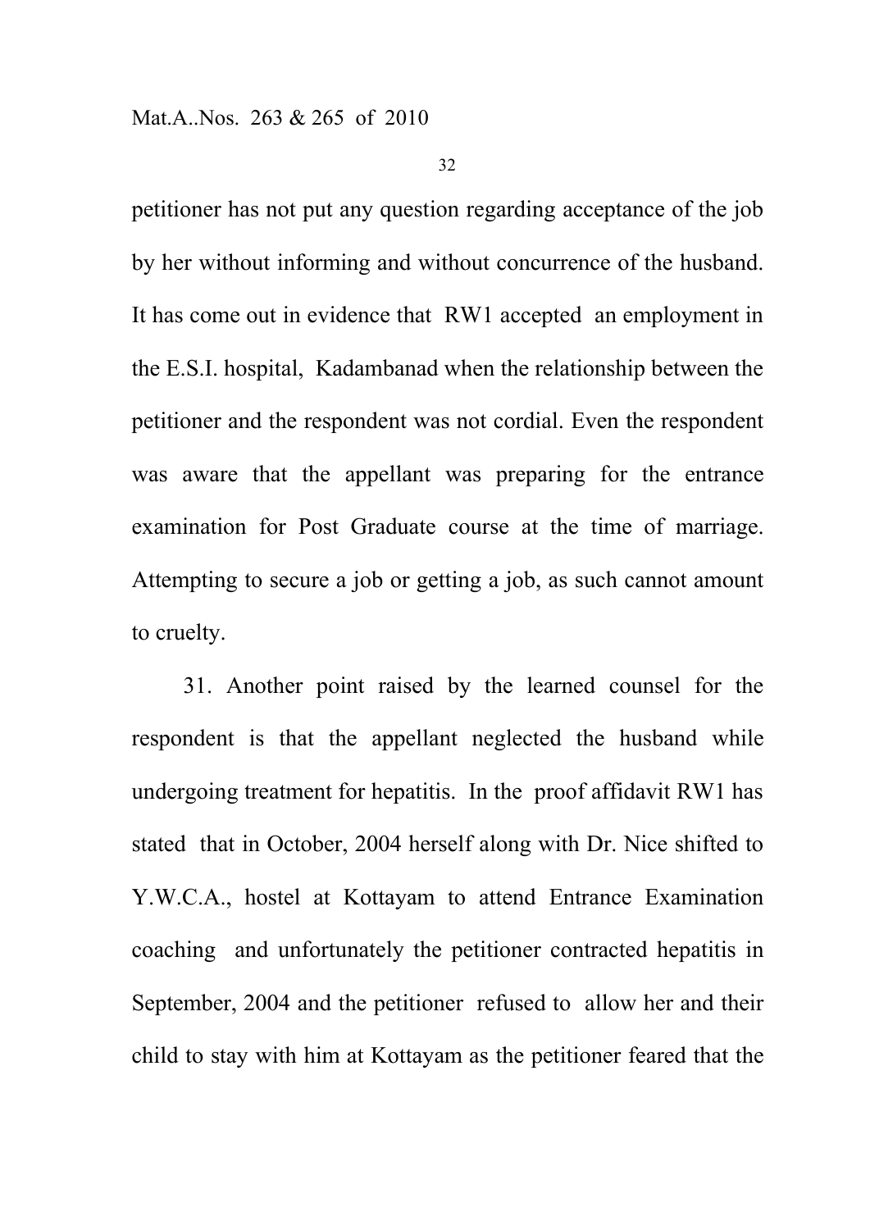petitioner has not put any question regarding acceptance of the job by her without informing and without concurrence of the husband. It has come out in evidence that RW1 accepted an employment in the E.S.I. hospital, Kadambanad when the relationship between the petitioner and the respondent was not cordial. Even the respondent was aware that the appellant was preparing for the entrance examination for Post Graduate course at the time of marriage. Attempting to secure a job or getting a job, as such cannot amount to cruelty.

31. Another point raised by the learned counsel for the respondent is that the appellant neglected the husband while undergoing treatment for hepatitis. In the proof affidavit RW1 has stated that in October, 2004 herself along with Dr. Nice shifted to Y.W.C.A., hostel at Kottayam to attend Entrance Examination coaching and unfortunately the petitioner contracted hepatitis in September, 2004 and the petitioner refused to allow her and their child to stay with him at Kottayam as the petitioner feared that the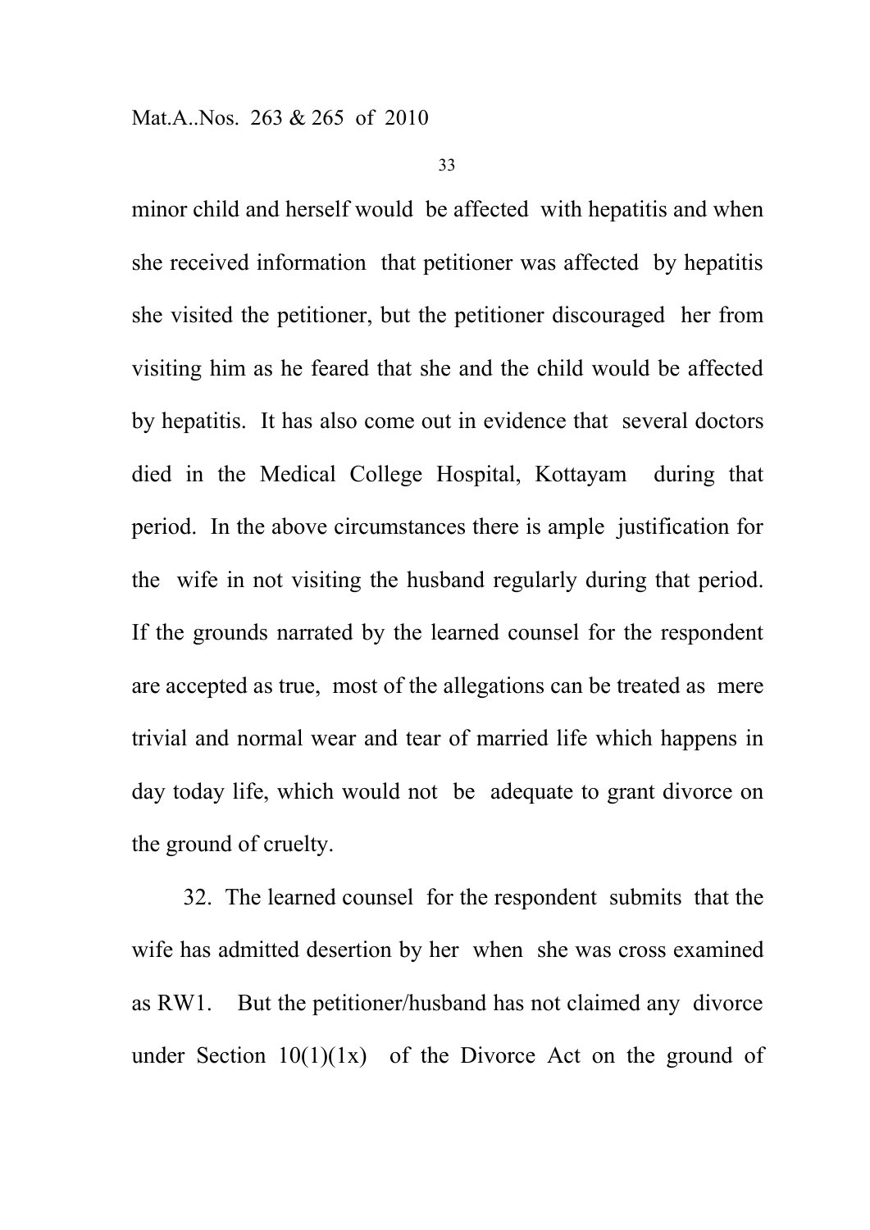minor child and herself would be affected with hepatitis and when she received information that petitioner was affected by hepatitis she visited the petitioner, but the petitioner discouraged her from visiting him as he feared that she and the child would be affected by hepatitis. It has also come out in evidence that several doctors died in the Medical College Hospital, Kottayam during that period. In the above circumstances there is ample justification for the wife in not visiting the husband regularly during that period. If the grounds narrated by the learned counsel for the respondent are accepted as true, most of the allegations can be treated as mere trivial and normal wear and tear of married life which happens in day today life, which would not be adequate to grant divorce on the ground of cruelty.

32. The learned counsel for the respondent submits that the wife has admitted desertion by her when she was cross examined as RW1. But the petitioner/husband has not claimed any divorce under Section  $10(1)(1x)$  of the Divorce Act on the ground of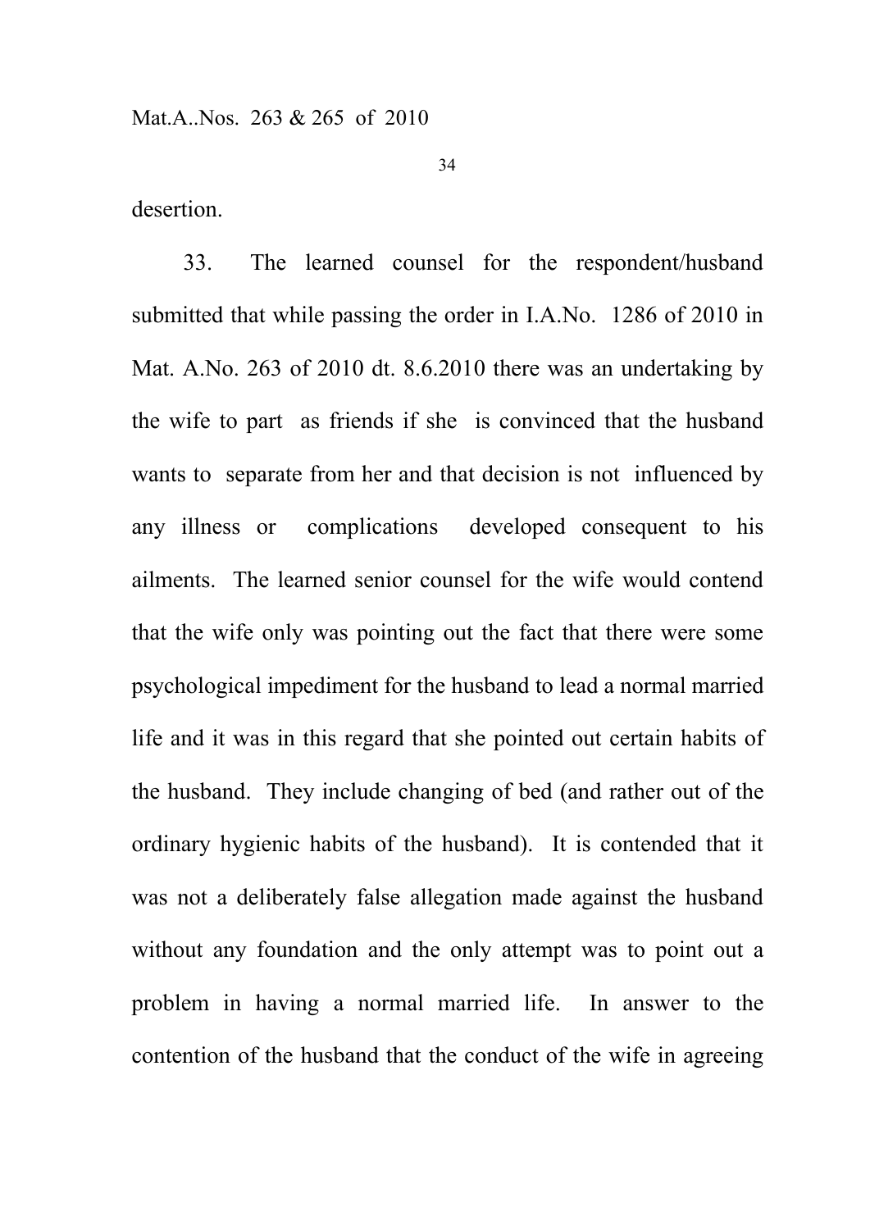desertion.

33. The learned counsel for the respondent/husband submitted that while passing the order in I.A.No. 1286 of 2010 in Mat. A.No. 263 of 2010 dt. 8.6.2010 there was an undertaking by the wife to part as friends if she is convinced that the husband wants to separate from her and that decision is not influenced by any illness or complications developed consequent to his ailments. The learned senior counsel for the wife would contend that the wife only was pointing out the fact that there were some psychological impediment for the husband to lead a normal married life and it was in this regard that she pointed out certain habits of the husband. They include changing of bed (and rather out of the ordinary hygienic habits of the husband). It is contended that it was not a deliberately false allegation made against the husband without any foundation and the only attempt was to point out a problem in having a normal married life. In answer to the contention of the husband that the conduct of the wife in agreeing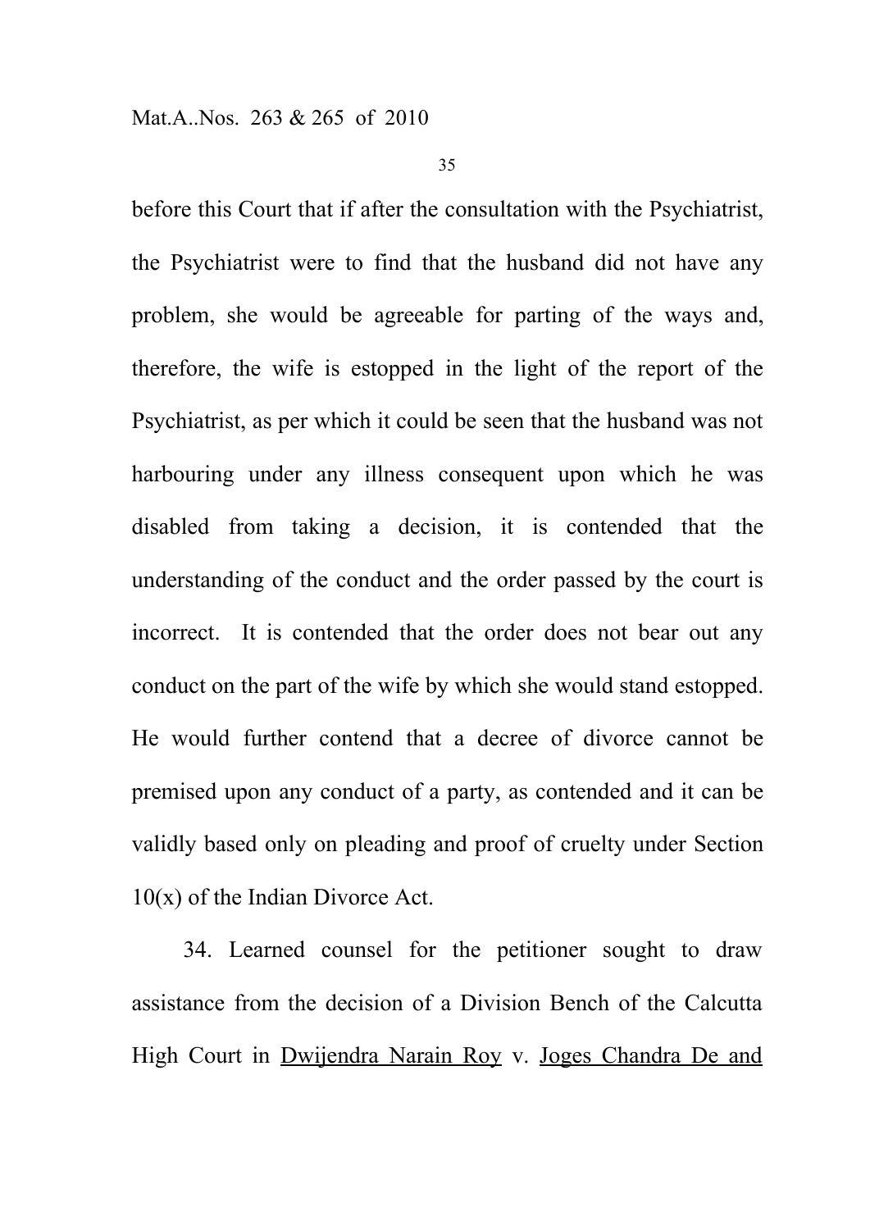before this Court that if after the consultation with the Psychiatrist, the Psychiatrist were to find that the husband did not have any problem, she would be agreeable for parting of the ways and, therefore, the wife is estopped in the light of the report of the Psychiatrist, as per which it could be seen that the husband was not harbouring under any illness consequent upon which he was disabled from taking a decision, it is contended that the understanding of the conduct and the order passed by the court is incorrect. It is contended that the order does not bear out any conduct on the part of the wife by which she would stand estopped. He would further contend that a decree of divorce cannot be premised upon any conduct of a party, as contended and it can be validly based only on pleading and proof of cruelty under Section 10(x) of the Indian Divorce Act.

34. Learned counsel for the petitioner sought to draw assistance from the decision of a Division Bench of the Calcutta High Court in Dwijendra Narain Roy v. Joges Chandra De and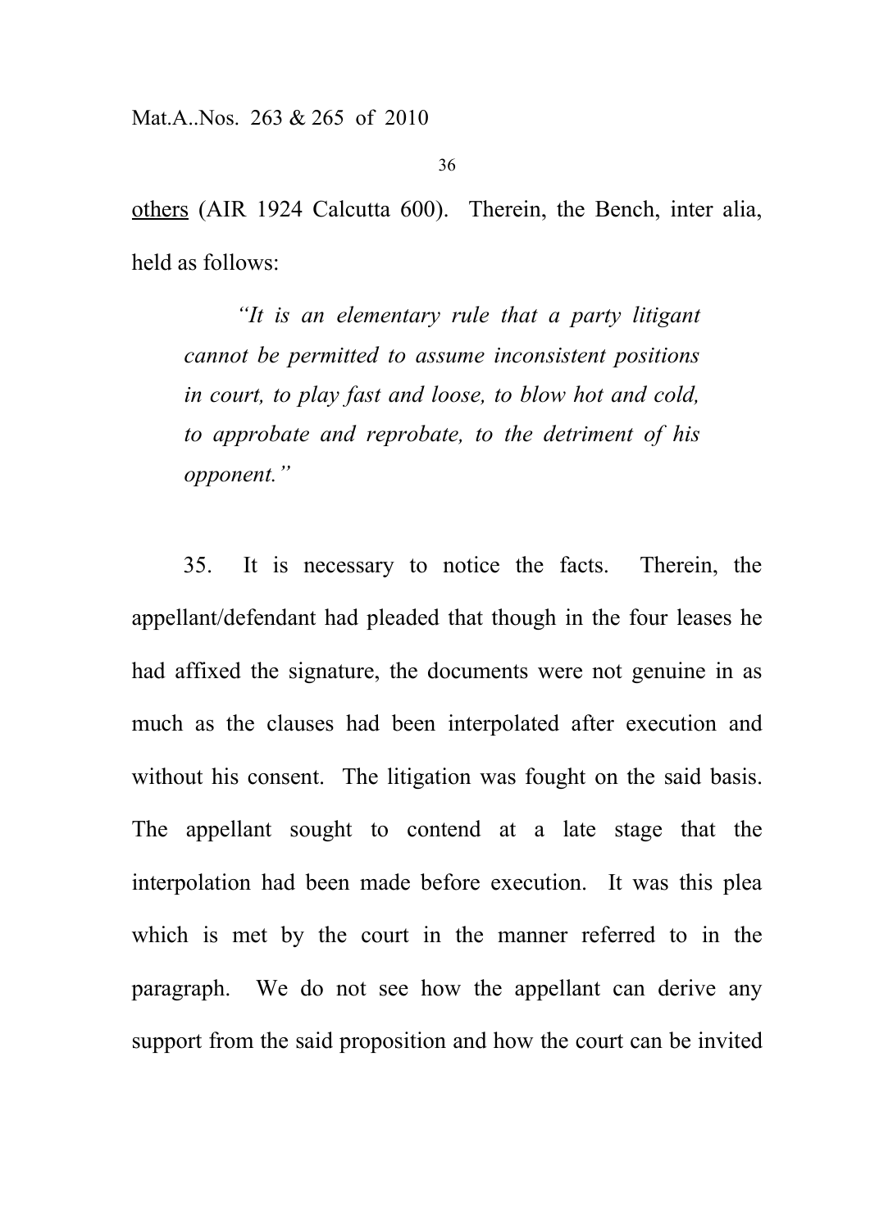others (AIR 1924 Calcutta 600). Therein, the Bench, inter alia, held as follows:

*"It is an elementary rule that a party litigant cannot be permitted to assume inconsistent positions in court, to play fast and loose, to blow hot and cold, to approbate and reprobate, to the detriment of his opponent."*

35. It is necessary to notice the facts. Therein, the appellant/defendant had pleaded that though in the four leases he had affixed the signature, the documents were not genuine in as much as the clauses had been interpolated after execution and without his consent. The litigation was fought on the said basis. The appellant sought to contend at a late stage that the interpolation had been made before execution. It was this plea which is met by the court in the manner referred to in the paragraph. We do not see how the appellant can derive any support from the said proposition and how the court can be invited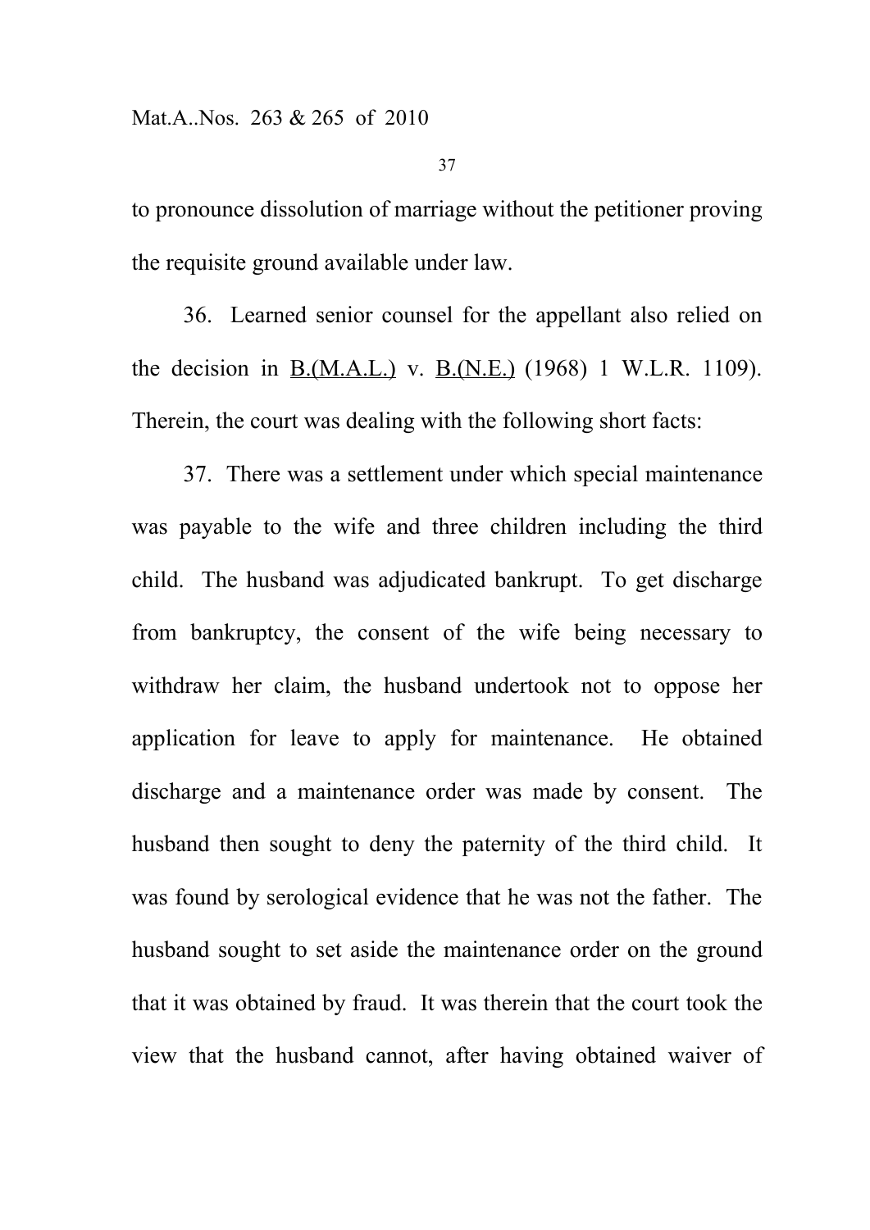to pronounce dissolution of marriage without the petitioner proving the requisite ground available under law.

36. Learned senior counsel for the appellant also relied on the decision in B.(M.A.L.) v. B.(N.E.) (1968) 1 W.L.R. 1109). Therein, the court was dealing with the following short facts:

37. There was a settlement under which special maintenance was payable to the wife and three children including the third child. The husband was adjudicated bankrupt. To get discharge from bankruptcy, the consent of the wife being necessary to withdraw her claim, the husband undertook not to oppose her application for leave to apply for maintenance. He obtained discharge and a maintenance order was made by consent. The husband then sought to deny the paternity of the third child. It was found by serological evidence that he was not the father. The husband sought to set aside the maintenance order on the ground that it was obtained by fraud. It was therein that the court took the view that the husband cannot, after having obtained waiver of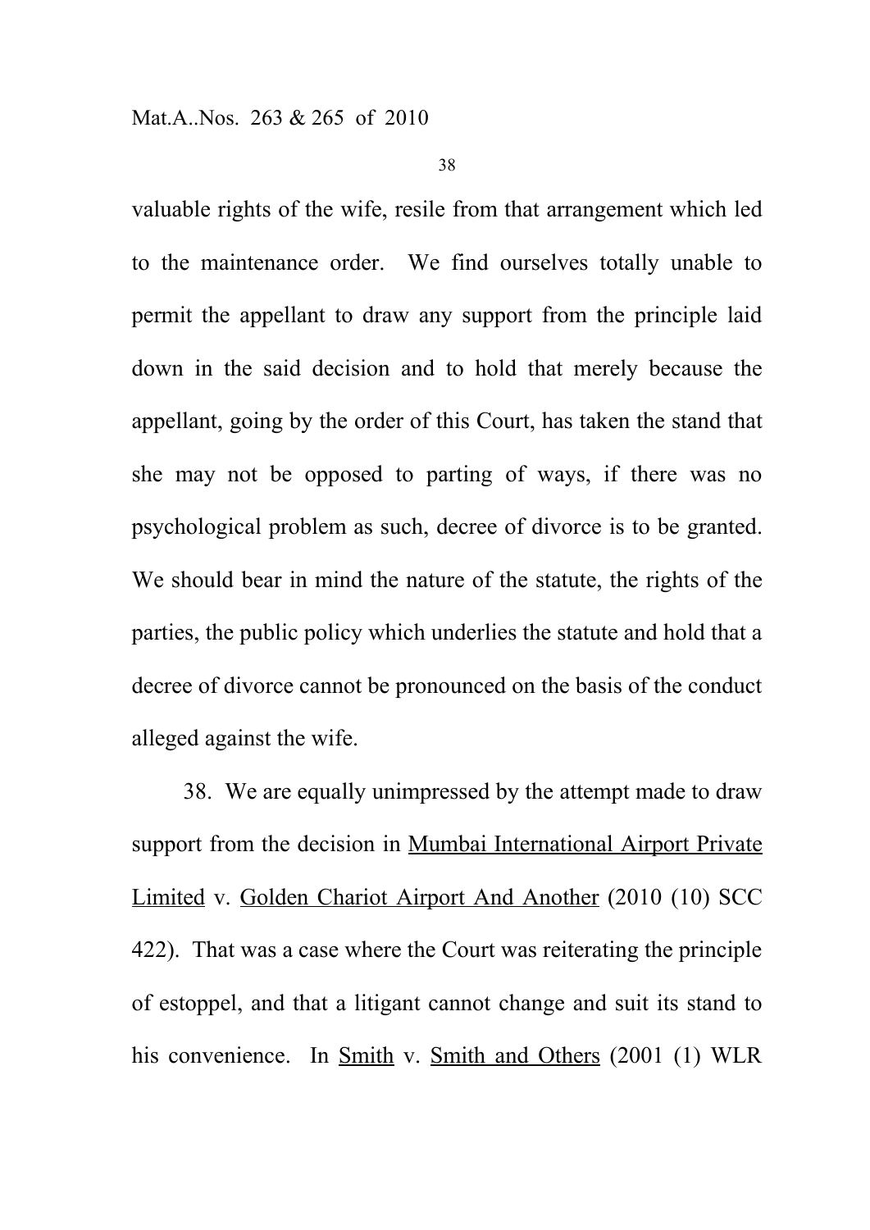valuable rights of the wife, resile from that arrangement which led to the maintenance order. We find ourselves totally unable to permit the appellant to draw any support from the principle laid down in the said decision and to hold that merely because the appellant, going by the order of this Court, has taken the stand that she may not be opposed to parting of ways, if there was no psychological problem as such, decree of divorce is to be granted. We should bear in mind the nature of the statute, the rights of the parties, the public policy which underlies the statute and hold that a decree of divorce cannot be pronounced on the basis of the conduct alleged against the wife.

38. We are equally unimpressed by the attempt made to draw support from the decision in Mumbai International Airport Private Limited v. Golden Chariot Airport And Another (2010 (10) SCC 422). That was a case where the Court was reiterating the principle of estoppel, and that a litigant cannot change and suit its stand to his convenience. In Smith v. Smith and Others (2001 (1) WLR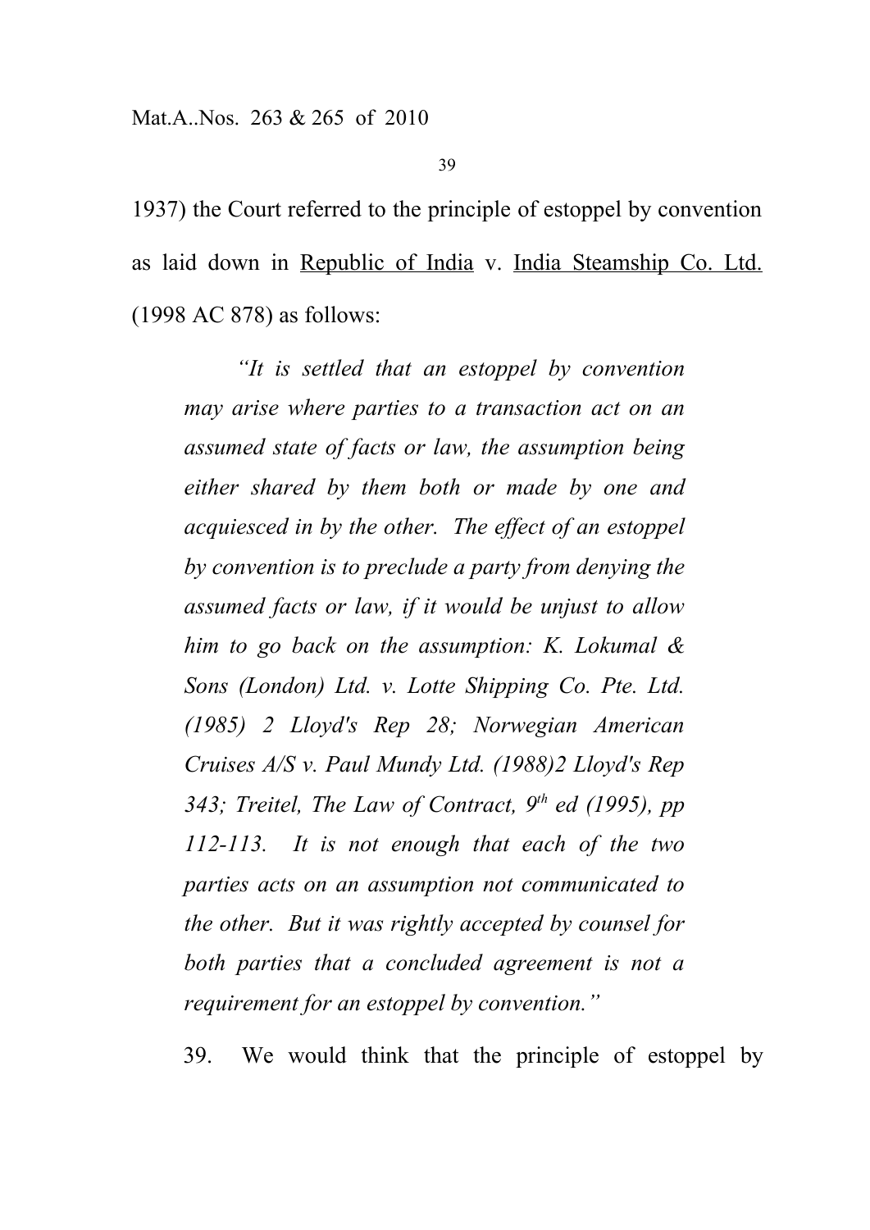1937) the Court referred to the principle of estoppel by convention as laid down in Republic of India v. India Steamship Co. Ltd. (1998 AC 878) as follows:

*"It is settled that an estoppel by convention may arise where parties to a transaction act on an assumed state of facts or law, the assumption being either shared by them both or made by one and acquiesced in by the other. The effect of an estoppel by convention is to preclude a party from denying the assumed facts or law, if it would be unjust to allow him to go back on the assumption: K. Lokumal & Sons (London) Ltd. v. Lotte Shipping Co. Pte. Ltd. (1985) 2 Lloyd's Rep 28; Norwegian American Cruises A/S v. Paul Mundy Ltd. (1988)2 Lloyd's Rep 343; Treitel, The Law of Contract, 9 th ed (1995), pp 112-113. It is not enough that each of the two parties acts on an assumption not communicated to the other. But it was rightly accepted by counsel for both parties that a concluded agreement is not a requirement for an estoppel by convention."*

39. We would think that the principle of estoppel by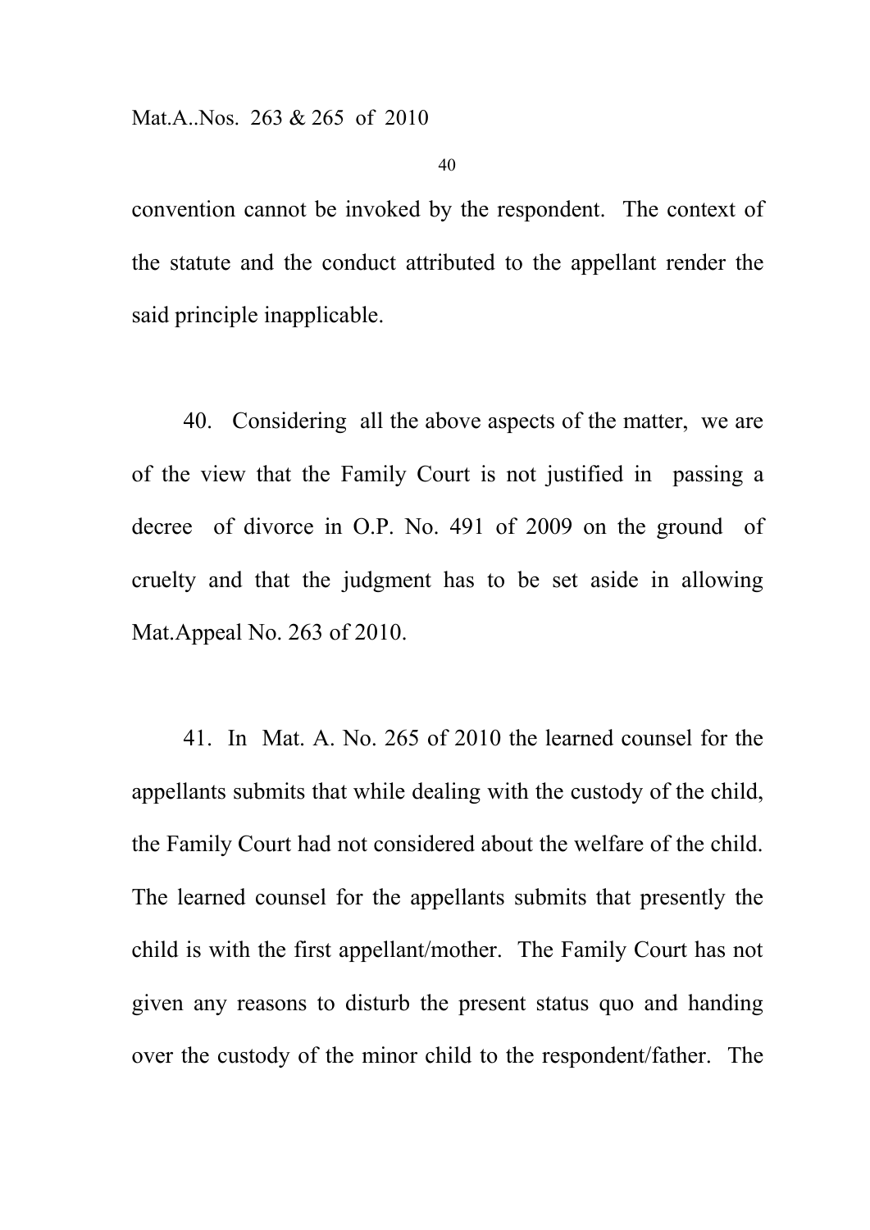convention cannot be invoked by the respondent. The context of the statute and the conduct attributed to the appellant render the said principle inapplicable.

40. Considering all the above aspects of the matter, we are of the view that the Family Court is not justified in passing a decree of divorce in O.P. No. 491 of 2009 on the ground of cruelty and that the judgment has to be set aside in allowing Mat.Appeal No. 263 of 2010.

41. In Mat. A. No. 265 of 2010 the learned counsel for the appellants submits that while dealing with the custody of the child, the Family Court had not considered about the welfare of the child. The learned counsel for the appellants submits that presently the child is with the first appellant/mother. The Family Court has not given any reasons to disturb the present status quo and handing over the custody of the minor child to the respondent/father. The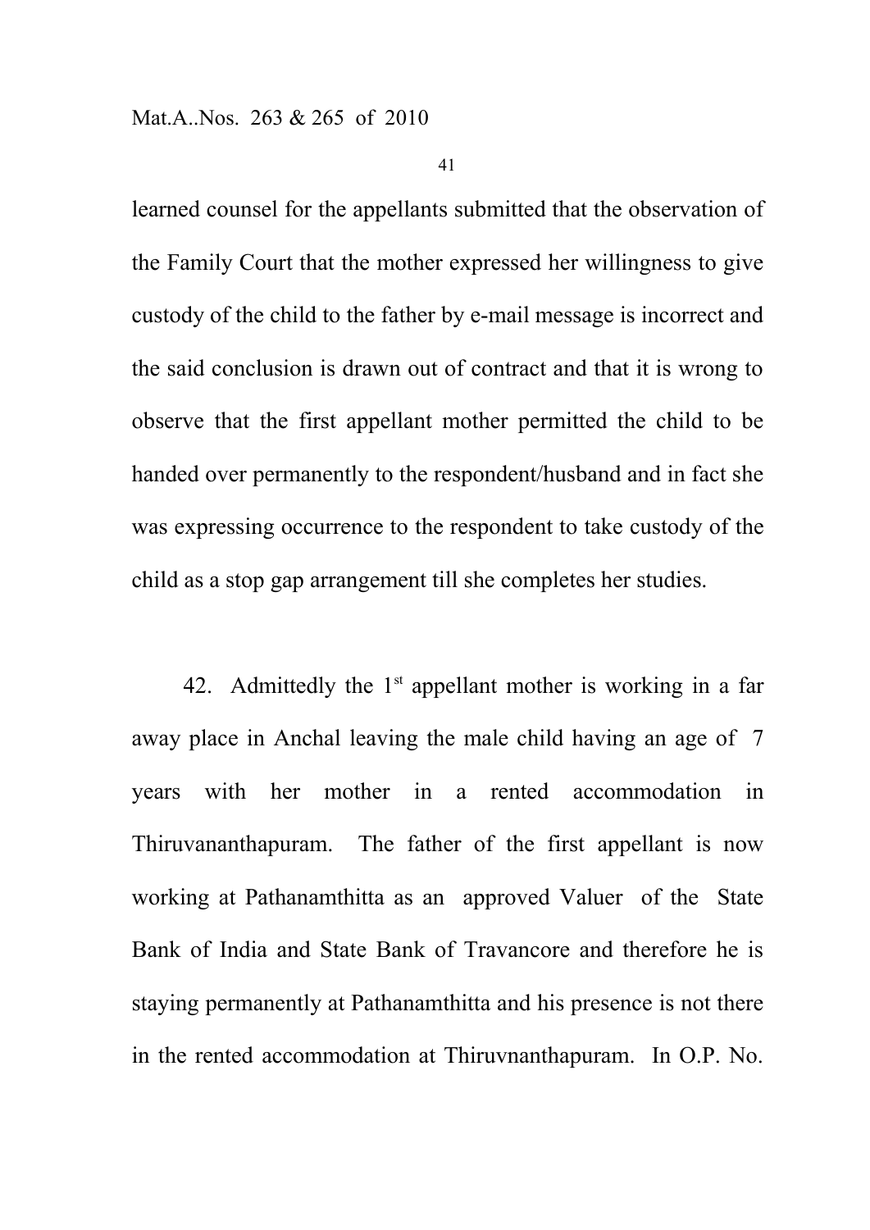learned counsel for the appellants submitted that the observation of the Family Court that the mother expressed her willingness to give custody of the child to the father by e-mail message is incorrect and the said conclusion is drawn out of contract and that it is wrong to observe that the first appellant mother permitted the child to be handed over permanently to the respondent/husband and in fact she was expressing occurrence to the respondent to take custody of the child as a stop gap arrangement till she completes her studies.

42. Admittedly the  $1<sup>st</sup>$  appellant mother is working in a far away place in Anchal leaving the male child having an age of 7 years with her mother in a rented accommodation in Thiruvananthapuram. The father of the first appellant is now working at Pathanamthitta as an approved Valuer of the State Bank of India and State Bank of Travancore and therefore he is staying permanently at Pathanamthitta and his presence is not there in the rented accommodation at Thiruvnanthapuram. In O.P. No.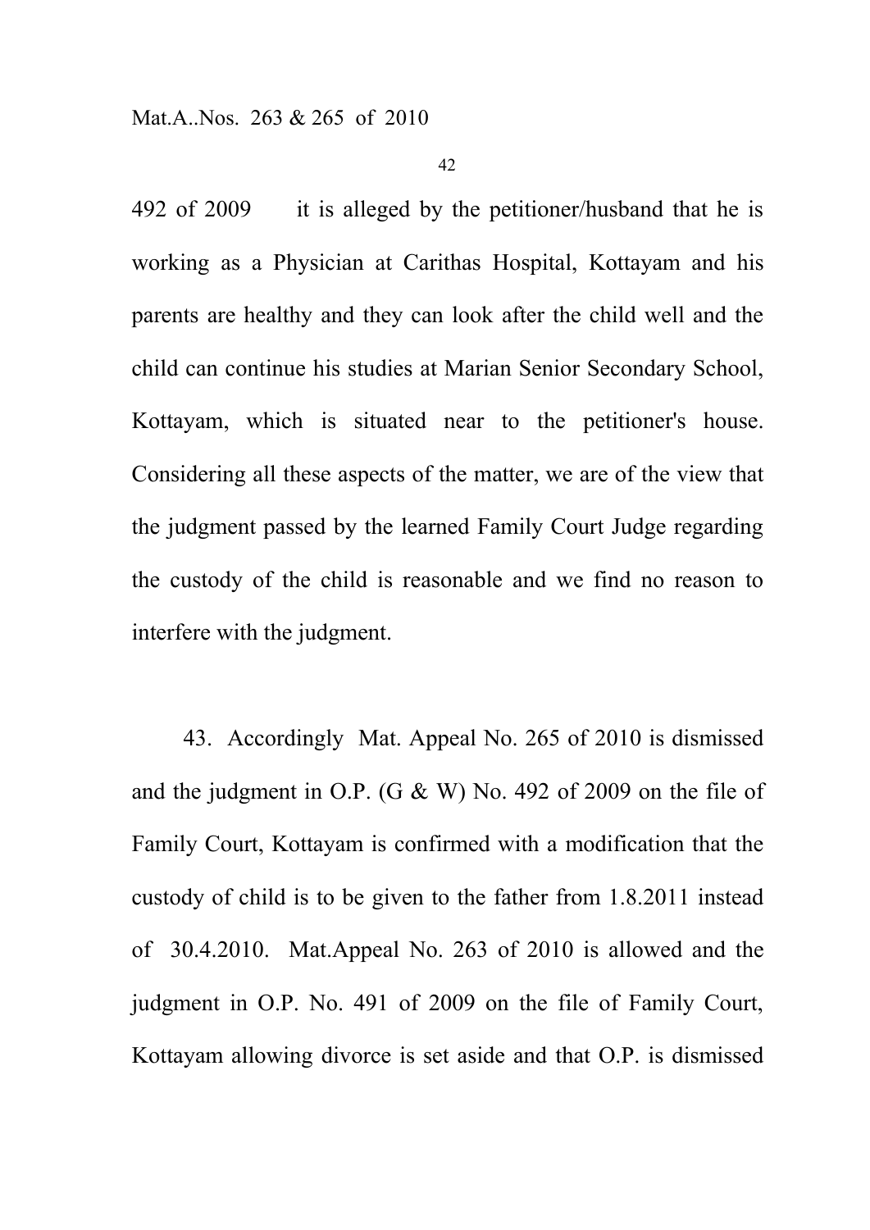492 of 2009 it is alleged by the petitioner/husband that he is working as a Physician at Carithas Hospital, Kottayam and his parents are healthy and they can look after the child well and the child can continue his studies at Marian Senior Secondary School, Kottayam, which is situated near to the petitioner's house. Considering all these aspects of the matter, we are of the view that the judgment passed by the learned Family Court Judge regarding the custody of the child is reasonable and we find no reason to interfere with the judgment.

43. Accordingly Mat. Appeal No. 265 of 2010 is dismissed and the judgment in O.P. (G & W) No. 492 of 2009 on the file of Family Court, Kottayam is confirmed with a modification that the custody of child is to be given to the father from 1.8.2011 instead of 30.4.2010. Mat.Appeal No. 263 of 2010 is allowed and the judgment in O.P. No. 491 of 2009 on the file of Family Court, Kottayam allowing divorce is set aside and that O.P. is dismissed